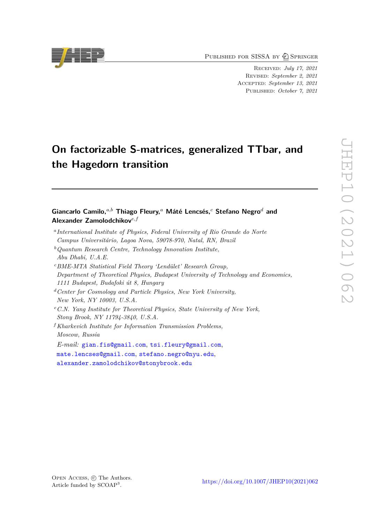PUBLISHED FOR SISSA BY 2 SPRINGER

Received: *July 17, 2021* Revised: *September 2, 2021* ACCEPTED: *September 13, 2021* Published: *October 7, 2021*

# **On factorizable S-matrices, generalized TTbar, and the Hagedorn transition**

# **Giancarlo Camilo,***a,b* **Thiago Fleury,***<sup>a</sup>* **Máté Lencsés,***<sup>c</sup>* **Stefano Negro***<sup>d</sup>* **and Alexander Zamolodchikov***e,f*

- *a International Institute of Physics, Federal University of Rio Grande do Norte Campus Universitário, Lagoa Nova, 59078-970, Natal, RN, Brazil*
- *<sup>b</sup>Quantum Research Centre, Technology Innovation Institute, Abu Dhabi, U.A.E.*
- *<sup>c</sup>BME-MTA Statistical Field Theory 'Lendület' Research Group, Department of Theoretical Physics, Budapest University of Technology and Economics, 1111 Budapest, Budafoki út 8, Hungary*
- *<sup>d</sup>Center for Cosmology and Particle Physics, New York University, New York, NY 10003, U.S.A.*
- *<sup>e</sup>C.N. Yang Institute for Theoretical Physics, State University of New York, Stony Brook, NY 11794-3840, U.S.A.*
- *<sup>f</sup>Kharkevich Institute for Information Transmission Problems, Moscow, Russia*

*E-mail:* [gian.fis@gmail.com](mailto:gian.fis@gmail.com), [tsi.fleury@gmail.com](mailto:tsi.fleury@gmail.com), [mate.lencses@gmail.com](mailto:mate.lencses@gmail.com), [stefano.negro@nyu.edu](mailto:stefano.negro@nyu.edu),

[alexander.zamolodchikov@stonybrook.edu](mailto:alexander.zamolodchikov@stonybrook.edu)

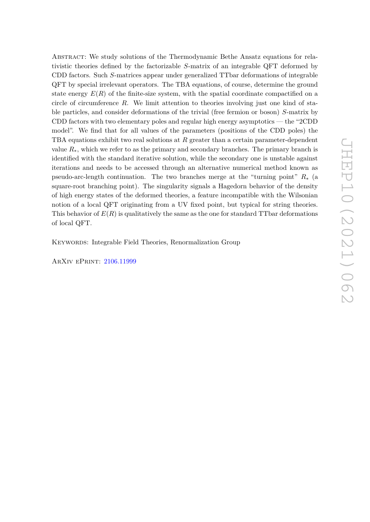Abstract: We study solutions of the Thermodynamic Bethe Ansatz equations for relativistic theories defined by the factorizable *S*-matrix of an integrable QFT deformed by CDD factors. Such *S*-matrices appear under generalized TTbar deformations of integrable QFT by special irrelevant operators. The TBA equations, of course, determine the ground state energy  $E(R)$  of the finite-size system, with the spatial coordinate compactified on a circle of circumference *R*. We limit attention to theories involving just one kind of stable particles, and consider deformations of the trivial (free fermion or boson) *S*-matrix by CDD factors with two elementary poles and regular high energy asymptotics — the "2CDD model". We find that for all values of the parameters (positions of the CDD poles) the TBA equations exhibit two real solutions at *R* greater than a certain parameter-dependent value  $R_{*}$ , which we refer to as the primary and secondary branches. The primary branch is identified with the standard iterative solution, while the secondary one is unstable against iterations and needs to be accessed through an alternative numerical method known as pseudo-arc-length continuation. The two branches merge at the "turning point" *R*<sup>∗</sup> (a square-root branching point). The singularity signals a Hagedorn behavior of the density of high energy states of the deformed theories, a feature incompatible with the Wilsonian notion of a local QFT originating from a UV fixed point, but typical for string theories. This behavior of  $E(R)$  is qualitatively the same as the one for standard TTbar deformations of local QFT.

KEYWORDS: Integrable Field Theories, Renormalization Group

ArXiv ePrint: [2106.11999](https://arxiv.org/abs/2106.11999)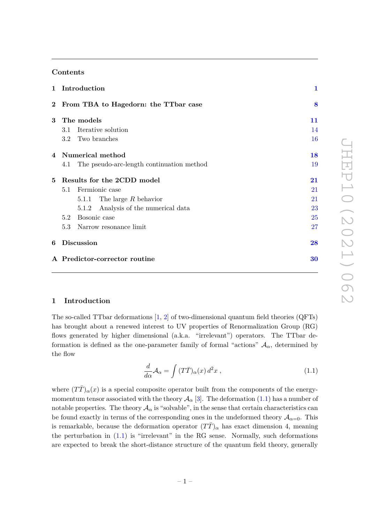# **Contents**

|                | 1 Introduction                                | $\mathbf{1}$ |  |  |
|----------------|-----------------------------------------------|--------------|--|--|
|                | 2 From TBA to Hagedorn: the TTbar case        |              |  |  |
| 3 <sup>1</sup> | The models                                    | 11           |  |  |
|                | Iterative solution<br>3.1                     | 14           |  |  |
|                | 3.2 Two branches                              | 16           |  |  |
|                | 4 Numerical method                            | 18           |  |  |
|                | 4.1 The pseudo-arc-length continuation method | 19           |  |  |
| 5              | Results for the 2CDD model                    | 21           |  |  |
|                | Fermionic case<br>5.1                         | 21           |  |  |
|                | 5.1.1 The large $R$ behavior                  | 21           |  |  |
|                | 5.1.2 Analysis of the numerical data          | 23           |  |  |
|                | 5.2 Bosonic case                              | 25           |  |  |
|                | 5.3 Narrow resonance limit                    | 27           |  |  |
| 6              | <b>Discussion</b>                             | 28           |  |  |
|                | A Predictor-corrector routine                 | 30           |  |  |

# <span id="page-2-0"></span>**1 Introduction**

The so-called TTbar deformations [\[1,](#page-34-0) [2\]](#page-34-1) of two-dimensional quantum field theories (QFTs) has brought about a renewed interest to UV properties of Renormalization Group (RG) flows generated by higher dimensional (a.k.a. "irrelevant") operators. The TTbar deformation is defined as the one-parameter family of formal "actions"  $A_{\alpha}$ , determined by the flow

<span id="page-2-1"></span>
$$
\frac{d}{d\alpha}\mathcal{A}_{\alpha} = \int (T\bar{T})_{\alpha}(x) d^2x , \qquad (1.1)
$$

where  $(T\bar{T})_{\alpha}(x)$  is a special composite operator built from the components of the energymomentum tensor associated with the theory  $\mathcal{A}_{\alpha}$  [\[3\]](#page-34-2). The deformation [\(1.1\)](#page-2-1) has a number of notable properties. The theory  $A_{\alpha}$  is "solvable", in the sense that certain characteristics can be found exactly in terms of the corresponding ones in the undeformed theory  $A_{\alpha=0}$ . This is remarkable, because the deformation operator  $(T\bar{T})_{\alpha}$  has exact dimension 4, meaning the perturbation in  $(1.1)$  is "irrelevant" in the RG sense. Normally, such deformations are expected to break the short-distance structure of the quantum field theory, generally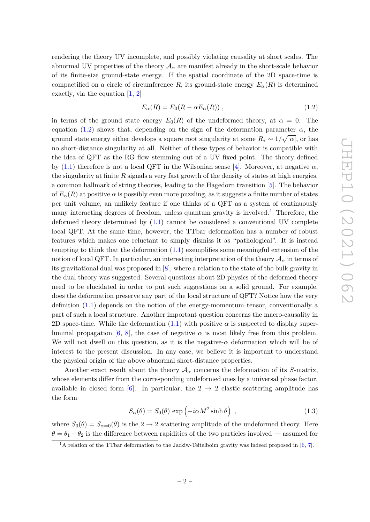rendering the theory UV incomplete, and possibly violating causality at short scales. The abnormal UV properties of the theory  $A_{\alpha}$  are manifest already in the short-scale behavior of its finite-size ground-state energy. If the spatial coordinate of the 2D space-time is compactified on a circle of circumference *R*, its ground-state energy  $E_{\alpha}(R)$  is determined exactly, via the equation [\[1,](#page-34-0) [2\]](#page-34-1)

<span id="page-3-0"></span>
$$
E_{\alpha}(R) = E_0(R - \alpha E_{\alpha}(R)), \qquad (1.2)
$$

in terms of the ground state energy  $E_0(R)$  of the undeformed theory, at  $\alpha = 0$ . The equation [\(1.2\)](#page-3-0) shows that, depending on the sign of the deformation parameter  $\alpha$ , the ground state energy either develops a square root singularity at some  $R_* \sim 1/\sqrt{|\alpha|}$ , or has no short-distance singularity at all. Neither of these types of behavior is compatible with the idea of QFT as the RG flow stemming out of a UV fixed point. The theory defined by [\(1.1\)](#page-2-1) therefore is not a local QFT in the Wilsonian sense [\[4\]](#page-34-3). Moreover, at negative  $\alpha$ , the singularity at finite *R* signals a very fast growth of the density of states at high energies, a common hallmark of string theories, leading to the Hagedorn transition [\[5\]](#page-34-4). The behavior of  $E_{\alpha}(R)$  at positive  $\alpha$  is possibly even more puzzling, as it suggests a finite number of states per unit volume, an unlikely feature if one thinks of a QFT as a system of continuously many interacting degrees of freedom, unless quantum gravity is involved.<sup>[1](#page-3-1)</sup> Therefore, the deformed theory determined by [\(1.1\)](#page-2-1) cannot be considered a conventional UV complete local QFT. At the same time, however, the TTbar deformation has a number of robust features which makes one reluctant to simply dismiss it as "pathological". It is instead tempting to think that the deformation [\(1.1\)](#page-2-1) exemplifies some meaningful extension of the notion of local QFT. In particular, an interesting interpretation of the theory  $\mathcal{A}_{\alpha}$  in terms of its gravitational dual was proposed in [\[8\]](#page-35-0), where a relation to the state of the bulk gravity in the dual theory was suggested. Several questions about 2D physics of the deformed theory need to be elucidated in order to put such suggestions on a solid ground. For example, does the deformation preserve any part of the local structure of QFT? Notice how the very definition [\(1.1\)](#page-2-1) depends on the notion of the energy-momentum tensor, conventionally a part of such a local structure. Another important question concerns the macro-causality in 2D space-time. While the deformation  $(1.1)$  with positive  $\alpha$  is suspected to display super-luminal propagation [\[6,](#page-34-5) [8\]](#page-35-0), the case of negative  $\alpha$  is most likely free from this problem. We will not dwell on this question, as it is the negative- $\alpha$  deformation which will be of interest to the present discussion. In any case, we believe it is important to understand the physical origin of the above abnormal short-distance properties.

Another exact result about the theory  $A_{\alpha}$  concerns the deformation of its *S*-matrix, whose elements differ from the corresponding undeformed ones by a universal phase factor, available in closed form [\[6\]](#page-34-5). In particular, the  $2 \rightarrow 2$  elastic scattering amplitude has the form

<span id="page-3-2"></span>
$$
S_{\alpha}(\theta) = S_0(\theta) \exp\left(-i\alpha M^2 \sinh \theta\right) , \qquad (1.3)
$$

where  $S_0(\theta) = S_{\alpha=0}(\theta)$  is the  $2 \to 2$  scattering amplitude of the undeformed theory. Here  $\theta = \theta_1 - \theta_2$  is the difference between rapidities of the two particles involved — assumed for

<span id="page-3-1"></span> $1_A$  relation of the TTbar deformation to the Jackiw-Teitelboim gravity was indeed proposed in [\[6,](#page-34-5) [7\]](#page-35-1).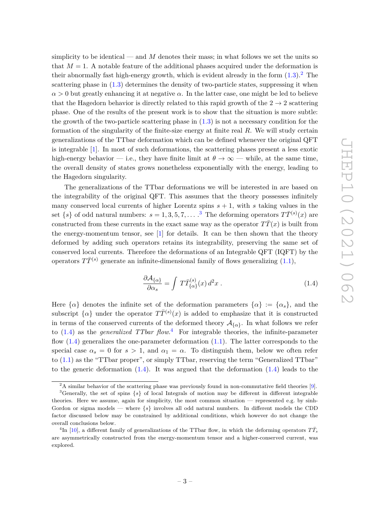simplicity to be identical — and *M* denotes their mass; in what follows we set the units so that  $M = 1$ . A notable feature of the additional phases acquired under the deformation is their abnormally fast high-energy growth, which is evident already in the form  $(1.3).<sup>2</sup>$  $(1.3).<sup>2</sup>$  $(1.3).<sup>2</sup>$  $(1.3).<sup>2</sup>$  The scattering phase in  $(1.3)$  determines the density of two-particle states, suppressing it when  $\alpha > 0$  but greatly enhancing it at negative  $\alpha$ . In the latter case, one might be led to believe that the Hagedorn behavior is directly related to this rapid growth of the  $2 \rightarrow 2$  scattering phase. One of the results of the present work is to show that the situation is more subtle: the growth of the two-particle scattering phase in  $(1.3)$  is not a necessary condition for the formation of the singularity of the finite-size energy at finite real *R*. We will study certain generalizations of the TTbar deformation which can be defined whenever the original QFT is integrable [\[1\]](#page-34-0). In most of such deformations, the scattering phases present a less exotic high-energy behavior — i.e., they have finite limit at  $\theta \to \infty$  — while, at the same time, the overall density of states grows nonetheless exponentially with the energy, leading to the Hagedorn singularity.

The generalizations of the TTbar deformations we will be interested in are based on the integrability of the original QFT. This assumes that the theory possesses infinitely many conserved local currents of higher Lorentz spins  $s + 1$ , with *s* taking values in the set  $\{s\}$  of odd natural numbers:  $s = 1, 3, 5, 7, \ldots$  $s = 1, 3, 5, 7, \ldots$  $s = 1, 3, 5, 7, \ldots$ .<sup>3</sup> The deforming operators  $T\overline{T}^{(s)}(x)$  are constructed from these currents in the exact same way as the operator  $T\bar{T}(x)$  is built from the energy-momentum tensor, see [\[1\]](#page-34-0) for details. It can be then shown that the theory deformed by adding such operators retains its integrability, preserving the same set of conserved local currents. Therefore the deformations of an Integrable QFT (IQFT) by the operators  $T\overline{T}^{(s)}$  generate an infinite-dimensional family of flows generalizing [\(1.1\)](#page-2-1),

<span id="page-4-2"></span>
$$
\frac{\partial \mathcal{A}_{\{\alpha\}}}{\partial \alpha_s} = \int T \bar{T}_{\{\alpha\}}^{(s)}(x) d^2 x . \qquad (1.4)
$$

Here  $\{\alpha\}$  denotes the infinite set of the deformation parameters  $\{\alpha\} := \{\alpha_s\}$ , and the subscript  $\{\alpha\}$  under the operator  $T\overline{T}^{(s)}(x)$  is added to emphasize that it is constructed in terms of the conserved currents of the deformed theory  $\mathcal{A}_{\{\alpha\}}$ . In what follows we refer to [\(1.4\)](#page-4-2) as the *generalized TTbar flow*. [4](#page-4-3) For integrable theories, the infinite-parameter flow  $(1.4)$  generalizes the one-parameter deformation  $(1.1)$ . The latter corresponds to the special case  $\alpha_s = 0$  for  $s > 1$ , and  $\alpha_1 = \alpha$ . To distinguish them, below we often refer to  $(1.1)$  as the "TTbar proper", or simply TTbar, reserving the term "Generalized TTbar" to the generic deformation  $(1.4)$ . It was argued that the deformation  $(1.4)$  leads to the

<span id="page-4-1"></span><span id="page-4-0"></span> $2A$  similar behavior of the scattering phase was previously found in non-commutative field theories [\[9\]](#page-35-2).

<sup>3</sup>Generally, the set of spins {*s*} of local Integrals of motion may be different in different integrable theories. Here we assume, again for simplicity, the most common situation — represented e.g. by sinh-Gordon or sigma models — where {*s*} involves all odd natural numbers. In different models the CDD factor discussed below may be constrained by additional conditions, which however do not change the overall conclusions below.

<span id="page-4-3"></span><sup>&</sup>lt;sup>4</sup>In [\[10\]](#page-35-3), a different family of generalizations of the TTbar flow, in which the deforming operators  $T\bar{T}_s$ are asymmetrically constructed from the energy-momentum tensor and a higher-conserved current, was explored.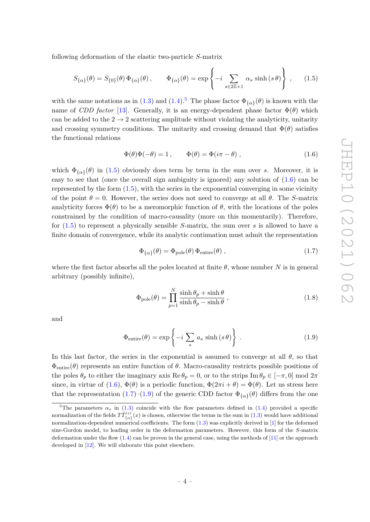following deformation of the elastic two-particle *S*-matrix

<span id="page-5-1"></span>
$$
S_{\{\alpha\}}(\theta) = S_{\{0\}}(\theta) \, \Phi_{\{\alpha\}}(\theta) \,, \qquad \Phi_{\{\alpha\}}(\theta) = \exp\left\{-i \sum_{s \in 2\mathbb{Z}+1} \alpha_s \sinh(s\,\theta)\right\} \,, \tag{1.5}
$$

with the same notations as in [\(1.3\)](#page-3-2) and [\(1.4\)](#page-4-2).<sup>[5](#page-5-0)</sup> The phase factor  $\Phi_{\{\alpha\}}(\theta)$  is known with the name of *CDD factor* [\[13\]](#page-35-4). Generally, it is an energy-dependent phase factor  $\Phi(\theta)$  which can be added to the  $2 \rightarrow 2$  scattering amplitude without violating the analyticity, unitarity and crossing symmetry conditions. The unitarity and crossing demand that  $\Phi(\theta)$  satisfies the functional relations

<span id="page-5-2"></span>
$$
\Phi(\theta)\Phi(-\theta) = 1, \qquad \Phi(\theta) = \Phi(i\pi - \theta), \qquad (1.6)
$$

which  $\Phi_{\{\alpha\}}(\theta)$  in [\(1.5\)](#page-5-1) obviously does term by term in the sum over *s*. Moreover, it is easy to see that (once the overall sign ambiguity is ignored) any solution of [\(1.6\)](#page-5-2) can be represented by the form  $(1.5)$ , with the series in the exponential converging in some vicinity of the point  $\theta = 0$ . However, the series does not need to converge at all  $\theta$ . The *S*-matrix analyticity forces  $\Phi(\theta)$  to be a meromorphic function of  $\theta$ , with the locations of the poles constrained by the condition of macro-causality (more on this momentarily). Therefore, for [\(1.5\)](#page-5-1) to represent a physically sensible *S*-matrix, the sum over *s* is allowed to have a finite domain of convergence, while its analytic continuation must admit the representation

<span id="page-5-3"></span>
$$
\Phi_{\{\alpha\}}(\theta) = \Phi_{\text{pole}}(\theta) \Phi_{\text{entire}}(\theta) , \qquad (1.7)
$$

where the first factor absorbs all the poles located at finite  $\theta$ , whose number *N* is in general arbitrary (possibly infinite),

<span id="page-5-5"></span>
$$
\Phi_{\text{pole}}(\theta) = \prod_{p=1}^{N} \frac{\sinh \theta_p + \sinh \theta}{\sinh \theta_p - \sinh \theta},
$$
\n(1.8)

and

<span id="page-5-4"></span>
$$
\Phi_{\text{entire}}(\theta) = \exp\left\{-i \sum_{s} a_{s} \sinh(s \theta)\right\}.
$$
\n(1.9)

In this last factor, the series in the exponential is assumed to converge at all  $\theta$ , so that  $\Phi_{\text{entire}}(\theta)$  represents an entire function of  $\theta$ . Macro-causality restricts possible positions of the poles  $\theta_p$  to either the imaginary axis Re  $\theta_p = 0$ , or to the strips Im  $\theta_p \in [-\pi, 0]$  mod  $2\pi$ since, in virtue of [\(1.6\)](#page-5-2),  $\Phi(\theta)$  is a periodic function,  $\Phi(2\pi i + \theta) = \Phi(\theta)$ . Let us stress here that the representation  $(1.7)$ – $(1.9)$  of the generic CDD factor  $\Phi_{\{\alpha\}}(\theta)$  differs from the one

<span id="page-5-0"></span><sup>&</sup>lt;sup>5</sup>The parameters  $\alpha_s$  in [\(1.3\)](#page-3-2) coincide with the flow parameters defined in [\(1.4\)](#page-4-2) provided a specific normalization of the fields  $T\bar{T}_{\{\alpha\}}^{(s)}(x)$  is chosen, otherwise the terms in the sum in [\(1.3\)](#page-3-2) would have additional normalization-dependent numerical coefficients. The form [\(1.3\)](#page-3-2) was explicitly derived in [\[1\]](#page-34-0) for the deformed sine-Gordon model, to leading order in the deformation parameters. However, this form of the *S*-matrix deformation under the flow  $(1.4)$  can be proven in the general case, using the methods of [\[11\]](#page-35-5) or the approach developed in [\[12\]](#page-35-6). We will elaborate this point elsewhere.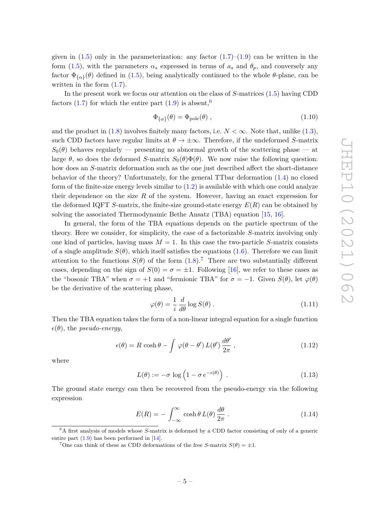given in  $(1.5)$  only in the parameterization: any factor  $(1.7)$ – $(1.9)$  can be written in the form [\(1.5\)](#page-5-1), with the parameters  $\alpha_s$  expressed in terms of  $a_s$  and  $\theta_p$ , and conversely any factor  $\Phi_{\{\alpha\}}(\theta)$  defined in [\(1.5\)](#page-5-1), being analytically continued to the whole  $\theta$ -plane, can be written in the form  $(1.7)$ .

In the present work we focus our attention on the class of *S*-matrices [\(1.5\)](#page-5-1) having CDD factors [\(1.7\)](#page-5-3) for which the entire part [\(1.9\)](#page-5-4) is absent,<sup>[6](#page-6-0)</sup>

<span id="page-6-5"></span>
$$
\Phi_{\{\alpha\}}(\theta) = \Phi_{\text{pole}}(\theta) \tag{1.10}
$$

and the product in  $(1.8)$  involves finitely many factors, i.e.  $N < \infty$ . Note that, unlike  $(1.3)$ , such CDD factors have regular limits at  $\theta \to \pm \infty$ . Therefore, if the undeformed *S*-matrix  $S_0(\theta)$  behaves regularly — presenting no abnormal growth of the scattering phase — at large  $\theta$ , so does the deformed *S*-matrix  $S_0(\theta)\Phi(\theta)$ . We now raise the following question: how does an *S*-matrix deformation such as the one just described affect the short-distance behavior of the theory? Unfortunately, for the general TTbar deformation [\(1.4\)](#page-4-2) no closed form of the finite-size energy levels similar to  $(1.2)$  is available with which one could analyze their dependence on the size *R* of the system. However, having an exact expression for the deformed IQFT *S*-matrix, the finite-size ground-state energy *E*(*R*) can be obtained by solving the associated Thermodynamic Bethe Ansatz (TBA) equation [\[15,](#page-35-7) [16\]](#page-35-8).

In general, the form of the TBA equations depends on the particle spectrum of the theory. Here we consider, for simplicity, the case of a factorizable *S*-matrix involving only one kind of particles, having mass  $M = 1$ . In this case the two-particle *S*-matrix consists of a single amplitude  $S(\theta)$ , which itself satisfies the equations [\(1.6\)](#page-5-2). Therefore we can limit attention to the functions  $S(\theta)$  of the form  $(1.8)$ .<sup>[7](#page-6-1)</sup> There are two substantially different cases, depending on the sign of  $S(0) = \sigma = \pm 1$ . Following [\[16\]](#page-35-8), we refer to these cases as the "bosonic TBA" when  $\sigma = +1$  and "fermionic TBA" for  $\sigma = -1$ . Given  $S(\theta)$ , let  $\varphi(\theta)$ be the derivative of the scattering phase,

$$
\varphi(\theta) = \frac{1}{i} \frac{d}{d\theta} \log S(\theta) . \qquad (1.11)
$$

Then the TBA equation takes the form of a non-linear integral equation for a single function  $\epsilon(\theta)$ , the *pseudo-energy*,

<span id="page-6-2"></span>
$$
\epsilon(\theta) = R \cosh \theta - \int \varphi(\theta - \theta') L(\theta') \frac{d\theta'}{2\pi}, \qquad (1.12)
$$

where

<span id="page-6-4"></span>
$$
L(\theta) := -\sigma \log \left( 1 - \sigma \, e^{-\epsilon(\theta)} \right) \,. \tag{1.13}
$$

The ground state energy can then be recovered from the pseudo-energy via the following expression

<span id="page-6-3"></span>
$$
E(R) = -\int_{-\infty}^{\infty} \cosh \theta \, L(\theta) \, \frac{d\theta}{2\pi} \,. \tag{1.14}
$$

<span id="page-6-0"></span><sup>6</sup>A first analysis of models whose *S*-matrix is deformed by a CDD factor consisting of only of a generic entire part [\(1.9\)](#page-5-4) has been performed in [\[14\]](#page-35-9).

<span id="page-6-1"></span><sup>&</sup>lt;sup>7</sup>One can think of these as CDD deformations of the free *S*-matrix  $S(\theta) = \pm 1$ .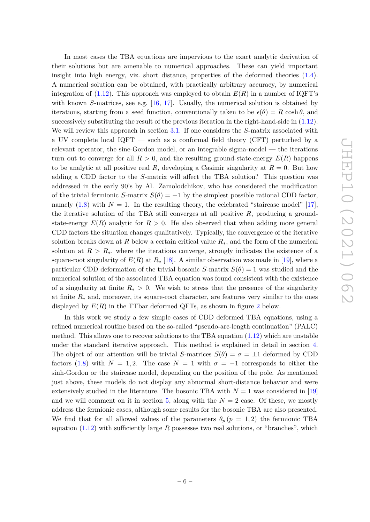In most cases the TBA equations are impervious to the exact analytic derivation of their solutions but are amenable to numerical approaches. These can yield important insight into high energy, viz. short distance, properties of the deformed theories [\(1.4\)](#page-4-2). A numerical solution can be obtained, with practically arbitrary accuracy, by numerical integration of  $(1.12)$ . This approach was employed to obtain  $E(R)$  in a number of IQFT's with known *S*-matrices, see e.g. [\[16,](#page-35-8) [17\]](#page-35-10). Usually, the numerical solution is obtained by iterations, starting from a seed function, conventionally taken to be  $\epsilon(\theta) = R \cosh \theta$ , and successively substituting the result of the previous iteration in the right-hand-side in [\(1.12\)](#page-6-2). We will review this approach in section [3.1.](#page-15-0) If one considers the *S*-matrix associated with a UV complete local IQFT — such as a conformal field theory (CFT) perturbed by a relevant operator, the sine-Gordon model, or an integrable sigma-model — the iterations turn out to converge for all  $R > 0$ , and the resulting ground-state-energy  $E(R)$  happens to be analytic at all positive real R, developing a Casimir singularity at  $R = 0$ . But how adding a CDD factor to the *S*-matrix will affect the TBA solution? This question was addressed in the early 90's by Al. Zamolodchikov, who has considered the modification of the trivial fermionic *S*-matrix  $S(\theta) = -1$  by the simplest possible rational CDD factor, namely  $(1.8)$  with  $N = 1$ . In the resulting theory, the celebrated "staircase model" [\[17\]](#page-35-10), the iterative solution of the TBA still converges at all positive *R*, producing a groundstate-energy  $E(R)$  analytic for  $R > 0$ . He also observed that when adding more general CDD factors the situation changes qualitatively. Typically, the convergence of the iterative solution breaks down at *R* below a certain critical value *R*∗, and the form of the numerical solution at  $R > R_{\ast}$ , where the iterations converge, strongly indicates the existence of a square-root singularity of  $E(R)$  at  $R_*$  [\[18\]](#page-35-11). A similar observation was made in [\[19\]](#page-35-12), where a particular CDD deformation of the trivial bosonic *S*-matrix  $S(\theta) = 1$  was studied and the numerical solution of the associated TBA equation was found consistent with the existence of a singularity at finite  $R_* > 0$ . We wish to stress that the presence of the singularity at finite  $R_*$  and, moreover, its square-root character, are features very similar to the ones displayed by  $E(R)$  in the TTbar deformed QFTs, as shown in figure [2](#page-11-0) below.

In this work we study a few simple cases of CDD deformed TBA equations, using a refined numerical routine based on the so-called "pseudo-arc-length continuation" (PALC) method. This allows one to recover solutions to the TBA equation [\(1.12\)](#page-6-2) which are unstable under the standard iterative approach. This method is explained in detail in section [4.](#page-19-0) The object of our attention will be trivial *S*-matrices  $S(\theta) = \sigma = \pm 1$  deformed by CDD factors [\(1.8\)](#page-5-5) with  $N = 1, 2$ . The case  $N = 1$  with  $\sigma = -1$  corresponds to either the sinh-Gordon or the staircase model, depending on the position of the pole. As mentioned just above, these models do not display any abnormal short-distance behavior and were extensively studied in the literature. The bosonic TBA with  $N=1$  was considered in [\[19\]](#page-35-12) and we will comment on it in section [5,](#page-22-0) along with the  $N = 2$  case. Of these, we mostly address the fermionic cases, although some results for the bosonic TBA are also presented. We find that for all allowed values of the parameters  $\theta_p$  ( $p = 1, 2$ ) the fermionic TBA equation [\(1.12\)](#page-6-2) with sufficiently large *R* possesses two real solutions, or "branches", which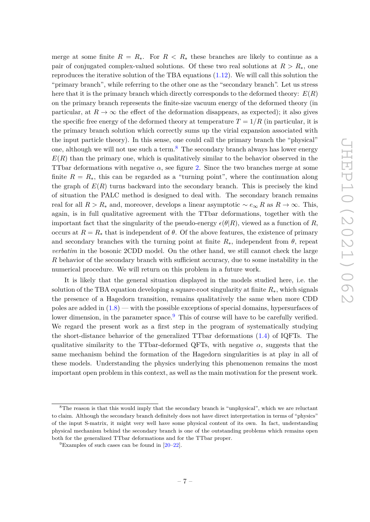merge at some finite  $R = R_*$ . For  $R < R_*$  these branches are likely to continue as a pair of conjugated complex-valued solutions. Of these two real solutions at  $R > R_{*}$ , one reproduces the iterative solution of the TBA equations [\(1.12\)](#page-6-2). We will call this solution the "primary branch", while referring to the other one as the "secondary branch". Let us stress here that it is the primary branch which directly corresponds to the deformed theory: *E*(*R*) on the primary branch represents the finite-size vacuum energy of the deformed theory (in particular, at  $R \to \infty$  the effect of the deformation disappears, as expected); it also gives the specific free energy of the deformed theory at temperature  $T = 1/R$  (in particular, it is the primary branch solution which correctly sums up the virial expansion associated with the input particle theory). In this sense, one could call the primary branch the "physical" one, although we will not use such a term.<sup>[8](#page-8-0)</sup> The secondary branch always has lower energy  $E(R)$  than the primary one, which is qualitatively similar to the behavior observed in the TTbar deformations with negative  $\alpha$ , see figure [2.](#page-11-0) Since the two branches merge at some finite  $R = R_{\ast}$ , this can be regarded as a "turning point", where the continuation along the graph of  $E(R)$  turns backward into the secondary branch. This is precisely the kind of situation the PALC method is designed to deal with. The secondary branch remains real for all  $R > R_*$  and, moreover, develops a linear asymptotic  $\sim e_{\infty} R$  as  $R \to \infty$ . This, again, is in full qualitative agreement with the TTbar deformations, together with the important fact that the singularity of the pseudo-energy  $\epsilon(\theta|R)$ , viewed as a function of *R*, occurs at  $R = R_*$  that is independent of  $\theta$ . Of the above features, the existence of primary and secondary branches with the turning point at finite  $R_*$ , independent from  $\theta$ , repeat *verbatim* in the bosonic 2CDD model. On the other hand, we still cannot check the large *R* behavior of the secondary branch with sufficient accuracy, due to some instability in the numerical procedure. We will return on this problem in a future work.

It is likely that the general situation displayed in the models studied here, i.e. the solution of the TBA equation developing a square-root singularity at finite *R*∗, which signals the presence of a Hagedorn transition, remains qualitatively the same when more CDD poles are added in [\(1.8\)](#page-5-5) — with the possible exceptions of special domains, hypersurfaces of lower dimension, in the parameter space.  $9$  This of course will have to be carefully verified. We regard the present work as a first step in the program of systematically studying the short-distance behavior of the generalized TTbar deformations [\(1.4\)](#page-4-2) of IQFTs. The qualitative similarity to the TTbar-deformed QFTs, with negative  $\alpha$ , suggests that the same mechanism behind the formation of the Hagedorn singularities is at play in all of these models. Understanding the physics underlying this phenomenon remains the most important open problem in this context, as well as the main motivation for the present work.

<span id="page-8-0"></span><sup>8</sup>The reason is that this would imply that the secondary branch is "unphysical", which we are reluctant to claim. Although the secondary branch definitely does not have direct interpretation in terms of "physics" of the input S-matrix, it might very well have some physical content of its own. In fact, understanding physical mechanism behind the secondary branch is one of the outstanding problems which remains open both for the generalized TTbar deformations and for the TTbar proper.

<span id="page-8-1"></span> $^{9}$ Examples of such cases can be found in [\[20–](#page-35-13)[22\]](#page-35-14).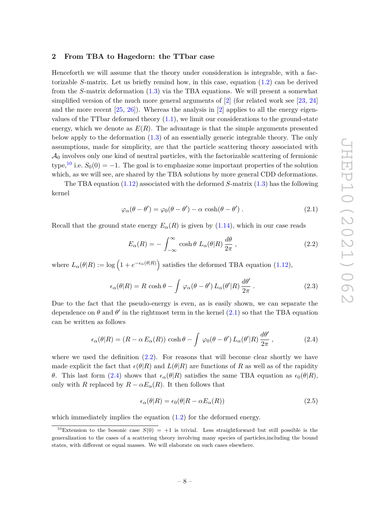#### <span id="page-9-0"></span>**2 From TBA to Hagedorn: the TTbar case**

Henceforth we will assume that the theory under consideration is integrable, with a factorizable *S*-matrix. Let us briefly remind how, in this case, equation [\(1.2\)](#page-3-0) can be derived from the *S*-matrix deformation [\(1.3\)](#page-3-2) via the TBA equations. We will present a somewhat simplified version of the much more general arguments of [\[2\]](#page-34-1) (for related work see [\[23,](#page-35-15) [24\]](#page-35-16) and the more recent  $[25, 26]$  $[25, 26]$  $[25, 26]$ . Whereas the analysis in  $[2]$  applies to all the energy eigenvalues of the TTbar deformed theory  $(1.1)$ , we limit our considerations to the ground-state energy, which we denote as  $E(R)$ . The advantage is that the simple arguments presented below apply to the deformation [\(1.3\)](#page-3-2) of an essentially generic integrable theory. The only assumptions, made for simplicity, are that the particle scattering theory associated with  $\mathcal{A}_0$  involves only one kind of neutral particles, with the factorizable scattering of fermionic type,<sup>[10](#page-9-1)</sup> i.e.  $S_0(0) = -1$ . The goal is to emphasize some important properties of the solution which, as we will see, are shared by the TBA solutions by more general CDD deformations.

The TBA equation [\(1.12\)](#page-6-2) associated with the deformed *S*-matrix [\(1.3\)](#page-3-2) has the following kernel

<span id="page-9-2"></span>
$$
\varphi_{\alpha}(\theta - \theta') = \varphi_0(\theta - \theta') - \alpha \cosh(\theta - \theta') . \qquad (2.1)
$$

Recall that the ground state energy  $E_{\alpha}(R)$  is given by [\(1.14\)](#page-6-3), which in our case reads

<span id="page-9-3"></span>
$$
E_{\alpha}(R) = -\int_{-\infty}^{\infty} \cosh \theta \ L_{\alpha}(\theta|R) \frac{d\theta}{2\pi} , \qquad (2.2)
$$

where  $L_{\alpha}(\theta|R) := \log \left(1 + e^{-\epsilon_{\alpha}(\theta|R)}\right)$  satisfies the deformed TBA equation [\(1.12\)](#page-6-2),

$$
\epsilon_{\alpha}(\theta|R) = R \cosh \theta - \int \varphi_{\alpha}(\theta - \theta') L_{\alpha}(\theta'|R) \frac{d\theta'}{2\pi}.
$$
 (2.3)

Due to the fact that the pseudo-energy is even, as is easily shown, we can separate the dependence on  $\theta$  and  $\theta'$  in the rightmost term in the kernel  $(2.1)$  so that the TBA equation can be written as follows

<span id="page-9-4"></span>
$$
\epsilon_{\alpha}(\theta|R) = (R - \alpha E_{\alpha}(R)) \cosh \theta - \int \varphi_0(\theta - \theta') L_{\alpha}(\theta'|R) \frac{d\theta'}{2\pi}, \qquad (2.4)
$$

where we used the definition  $(2.2)$ . For reasons that will become clear shortly we have made explicit the fact that  $\epsilon(\theta|R)$  and  $L(\theta|R)$  are functions of R as well as of the rapidity *θ*. This last form [\(2.4\)](#page-9-4) shows that  $\epsilon_{\alpha}(\theta|R)$  satisfies the same TBA equation as  $\epsilon_0(\theta|R)$ , only with *R* replaced by  $R - \alpha E_{\alpha}(R)$ . It then follows that

$$
\epsilon_{\alpha}(\theta|R) = \epsilon_0(\theta|R - \alpha E_{\alpha}(R)) \tag{2.5}
$$

which immediately implies the equation  $(1.2)$  for the deformed energy.

<span id="page-9-1"></span><sup>&</sup>lt;sup>10</sup>Extension to the bosonic case  $S(0) = +1$  is trivial. Less straightforward but still possible is the generalization to the cases of a scattering theory involving many species of particles,including the bound states, with different or equal masses. We will elaborate on such cases elsewhere.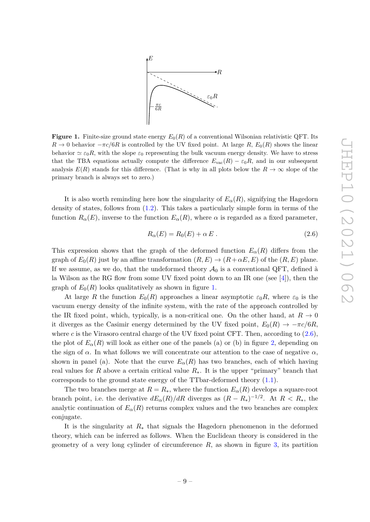

<span id="page-10-0"></span>**Figure 1.** Finite-size ground state energy  $E_0(R)$  of a conventional Wilsonian relativistic QFT. Its  $R \to 0$  behavior  $-\pi c/6R$  is controlled by the UV fixed point. At large  $R$ ,  $E_0(R)$  shows the linear behavior  $\simeq \varepsilon_0 R$ , with the slope  $\varepsilon_0$  representing the bulk vacuum energy density. We have to stress that the TBA equations actually compute the difference  $E_{\text{vac}}(R) - \varepsilon_0 R$ , and in our subsequent analysis  $E(R)$  stands for this difference. (That is why in all plots below the  $R \to \infty$  slope of the primary branch is always set to zero.)

It is also worth reminding here how the singularity of  $E_{\alpha}(R)$ , signifying the Hagedorn density of states, follows from [\(1.2\)](#page-3-0). This takes a particularly simple form in terms of the function  $R_{\alpha}(E)$ , inverse to the function  $E_{\alpha}(R)$ , where  $\alpha$  is regarded as a fixed parameter,

<span id="page-10-1"></span>
$$
R_{\alpha}(E) = R_0(E) + \alpha E. \qquad (2.6)
$$

This expression shows that the graph of the deformed function  $E_{\alpha}(R)$  differs from the graph of  $E_0(R)$  just by an affine transformation  $(R, E) \rightarrow (R + \alpha E, E)$  of the  $(R, E)$  plane. If we assume, as we do, that the undeformed theory  $\mathcal{A}_0$  is a conventional QFT, defined à la Wilson as the RG flow from some UV fixed point down to an IR one (see [\[4\]](#page-34-3)), then the graph of  $E_0(R)$  looks qualitatively as shown in figure [1.](#page-10-0)

At large *R* the function  $E_0(R)$  approaches a linear asymptotic  $\varepsilon_0 R$ , where  $\varepsilon_0$  is the vacuum energy density of the infinite system, with the rate of the approach controlled by the IR fixed point, which, typically, is a non-critical one. On the other hand, at  $R \to 0$ it diverges as the Casimir energy determined by the UV fixed point,  $E_0(R) \rightarrow -\pi c/6R$ , where  $c$  is the Virasoro central charge of the UV fixed point CFT. Then, according to  $(2.6)$ , the plot of  $E_{\alpha}(R)$  will look as either one of the panels (a) or (b) in figure [2,](#page-11-0) depending on the sign of  $\alpha$ . In what follows we will concentrate our attention to the case of negative  $\alpha$ , shown in panel (a). Note that the curve  $E_{\alpha}(R)$  has two branches, each of which having real values for *R* above a certain critical value  $R_{*}$ . It is the upper "primary" branch that corresponds to the ground state energy of the TTbar-deformed theory  $(1.1)$ .

The two branches merge at  $R = R_*$ , where the function  $E_{\alpha}(R)$  develops a square-root branch point, i.e. the derivative  $dE_{\alpha}(R)/dR$  diverges as  $(R - R_*)^{-1/2}$ . At  $R < R_*$ , the analytic continuation of  $E_\alpha(R)$  returns complex values and the two branches are complex conjugate.

It is the singularity at *R*<sup>∗</sup> that signals the Hagedorn phenomenon in the deformed theory, which can be inferred as follows. When the Euclidean theory is considered in the geometry of a very long cylinder of circumference  $R$ , as shown in figure [3,](#page-12-1) its partition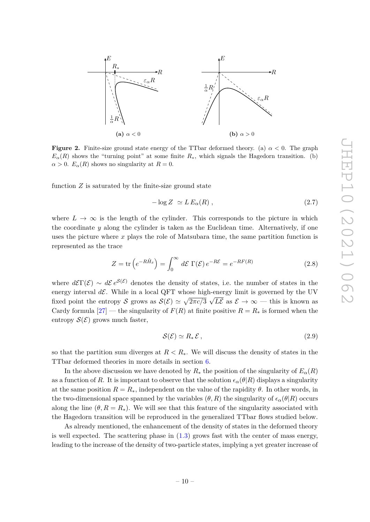<span id="page-11-0"></span>

**Figure 2.** Finite-size ground state energy of the TTbar deformed theory. (a) *α <* 0. The graph  $E_{\alpha}(R)$  shows the "turning point" at some finite  $R_{*}$ , which signals the Hagedorn transition. (b)  $\alpha > 0$ .  $E_{\alpha}(R)$  shows no singularity at  $R = 0$ .

function  $Z$  is saturated by the finite-size ground state

<span id="page-11-1"></span>
$$
-\log Z \simeq L E_{\alpha}(R) , \qquad (2.7)
$$

where  $L \to \infty$  is the length of the cylinder. This corresponds to the picture in which the coordinate *y* along the cylinder is taken as the Euclidean time. Alternatively, if one uses the picture where *x* plays the role of Matsubara time, the same partition function is represented as the trace

<span id="page-11-2"></span>
$$
Z = \text{tr}\left(e^{-R\hat{H}_x}\right) = \int_0^\infty d\mathcal{E} \, \Gamma(\mathcal{E}) \, e^{-R\mathcal{E}} = e^{-RF(R)} \tag{2.8}
$$

where  $d\mathcal{E}\Gamma(\mathcal{E}) \sim d\mathcal{E}e^{\mathcal{S}(\mathcal{E})}$  denotes the density of states, i.e. the number of states in the energy interval  $d\mathcal{E}$ . While in a local QFT whose high-energy limit is governed by the UV fixed point the entropy S grows as  $\mathcal{S}(\mathcal{E}) \simeq \sqrt{2\pi c/3} \, \sqrt{L\mathcal{E}}$  as  $\mathcal{E} \to \infty$  — this is known as Cardy formula  $[27]$  — the singularity of  $F(R)$  at finite positive  $R = R_*$  is formed when the entropy  $\mathcal{S}(\mathcal{E})$  grows much faster,

<span id="page-11-3"></span>
$$
\mathcal{S}(\mathcal{E}) \simeq R_* \mathcal{E}, \tag{2.9}
$$

so that the partition sum diverges at  $R < R<sub>*</sub>$ . We will discuss the density of states in the TTbar deformed theories in more details in section [6.](#page-29-0)

In the above discussion we have denoted by  $R_*$  the position of the singularity of  $E_\alpha(R)$ as a function of *R*. It is important to observe that the solution  $\epsilon_{\alpha}(\theta|R)$  displays a singularity at the same position  $R = R_{\ast}$ , independent on the value of the rapidity  $\theta$ . In other words, in the two-dimensional space spanned by the variables  $(\theta, R)$  the singularity of  $\epsilon_{\alpha}(\theta|R)$  occurs along the line  $(\theta, R = R_*)$ . We will see that this feature of the singularity associated with the Hagedorn transition will be reproduced in the generalized TTbar flows studied below.

As already mentioned, the enhancement of the density of states in the deformed theory is well expected. The scattering phase in  $(1.3)$  grows fast with the center of mass energy, leading to the increase of the density of two-particle states, implying a yet greater increase of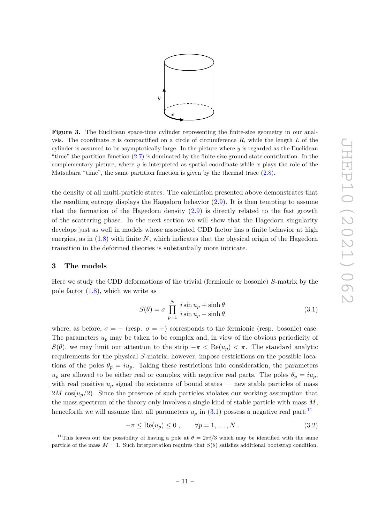

<span id="page-12-1"></span>**Figure 3.** The Euclidean space-time cylinder representing the finite-size geometry in our analysis. The coordinate *x* is compactified on a circle of circumference *R*, while the length *L* of the cylinder is assumed to be asymptotically large. In the picture where *y* is regarded as the Euclidean "time" the partition function [\(2.7\)](#page-11-1) is dominated by the finite-size ground state contribution. In the complementary picture, where *y* is interpreted as spatial coordinate while *x* plays the role of the Matsubara "time", the same partition function is given by the thermal trace [\(2.8\)](#page-11-2).

the density of all multi-particle states. The calculation presented above demonstrates that the resulting entropy displays the Hagedorn behavior  $(2.9)$ . It is then tempting to assume that the formation of the Hagedorn density [\(2.9\)](#page-11-3) is directly related to the fast growth of the scattering phase. In the next section we will show that the Hagedorn singularity develops just as well in models whose associated CDD factor has a finite behavior at high energies, as in [\(1.8\)](#page-5-5) with finite *N*, which indicates that the physical origin of the Hagedorn transition in the deformed theories is substantially more intricate.

#### <span id="page-12-0"></span>**3 The models**

Here we study the CDD deformations of the trivial (fermionic or bosonic) *S*-matrix by the pole factor  $(1.8)$ , which we write as

<span id="page-12-2"></span>
$$
S(\theta) = \sigma \prod_{p=1}^{N} \frac{i \sin u_p + \sinh \theta}{i \sin u_p - \sinh \theta}
$$
 (3.1)

where, as before,  $\sigma = -$  (resp.  $\sigma = +$ ) corresponds to the fermionic (resp. bosonic) case. The parameters  $u_p$  may be taken to be complex and, in view of the obvious periodicity of *S*( $\theta$ ), we may limit our attention to the strip  $-\pi < \text{Re}(u_p) < \pi$ . The standard analytic requirements for the physical *S*-matrix, however, impose restrictions on the possible locations of the poles  $\theta_p = i u_p$ . Taking these restrictions into consideration, the parameters  $u_p$  are allowed to be either real or complex with negative real parts. The poles  $\theta_p = i u_p$ , with real positive  $u_p$  signal the existence of bound states — new stable particles of mass  $2M \cos(u_p/2)$ . Since the presence of such particles violates our working assumption that the mass spectrum of the theory only involves a single kind of stable particle with mass *M*, henceforth we will assume that all parameters  $u_p$  in  $(3.1)$  possess a negative real part:<sup>[11](#page-12-3)</sup>

<span id="page-12-4"></span>
$$
-\pi \le \text{Re}(u_p) \le 0 , \qquad \forall p = 1, \dots, N . \tag{3.2}
$$

<span id="page-12-3"></span><sup>&</sup>lt;sup>11</sup>This leaves out the possibility of having a pole at  $\theta = 2\pi i/3$  which may be identified with the same particle of the mass  $M = 1$ . Such interpretation requires that  $S(\theta)$  satisfies additional bootstrap condition.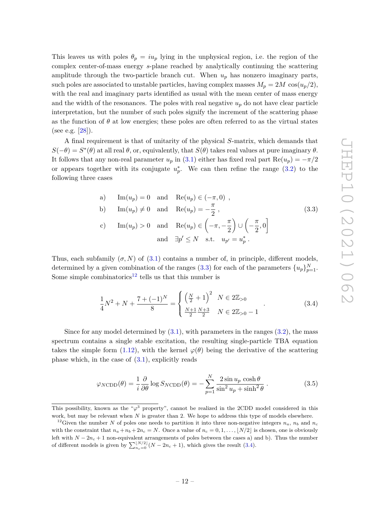This leaves us with poles  $\theta_p = i u_p$  lying in the unphysical region, i.e. the region of the complex center-of-mass energy *s*-plane reached by analytically continuing the scattering amplitude through the two-particle branch cut. When  $u_p$  has nonzero imaginary parts, such poles are associated to unstable particles, having complex masses  $M_p = 2M \cos(u_p/2)$ , with the real and imaginary parts identified as usual with the mean center of mass energy and the width of the resonances. The poles with real negative  $u_p$  do not have clear particle interpretation, but the number of such poles signify the increment of the scattering phase as the function of  $\theta$  at low energies; these poles are often referred to as the virtual states (see e.g. [\[28\]](#page-36-0)).

A final requirement is that of unitarity of the physical *S*-matrix, which demands that  $S(-\theta) = S^*(\theta)$  at all real  $\theta$ , or, equivalently, that  $S(\theta)$  takes real values at pure imaginary  $\theta$ . It follows that any non-real parameter  $u_p$  in [\(3.1\)](#page-12-2) either has fixed real part  $\text{Re}(u_p) = -\pi/2$ or appears together with its conjugate  $u_p^*$ . We can then refine the range  $(3.2)$  to the following three cases

<span id="page-13-0"></span>a) 
$$
\text{Im}(u_p) = 0
$$
 and  $\text{Re}(u_p) \in (-\pi, 0)$ ,  
\nb)  $\text{Im}(u_p) \neq 0$  and  $\text{Re}(u_p) = -\frac{\pi}{2}$ ,  
\nc)  $\text{Im}(u_p) > 0$  and  $\text{Re}(u_p) \in \left(-\pi, -\frac{\pi}{2}\right) \cup \left(-\frac{\pi}{2}, 0\right]$   
\nand  $\exists p' \leq N$  s.t.  $u_{p'} = u_p^*$ .

Thus, each subfamily  $(\sigma, N)$  of  $(3.1)$  contains a number of, in principle, different models, determined by a given combination of the ranges [\(3.3\)](#page-13-0) for each of the parameters  $\{u_p\}_{p=1}^N$ . Some simple combinatorics<sup>[12](#page-13-1)</sup> tells us that this number is

<span id="page-13-2"></span>
$$
\frac{1}{4}N^2 + N + \frac{7 + (-1)^N}{8} = \begin{cases} \left(\frac{N}{2} + 1\right)^2 & N \in 2\mathbb{Z}_{>0} \\ \frac{N+1}{2} \frac{N+3}{2} & N \in 2\mathbb{Z}_{>0} - 1 \end{cases}
$$
 (3.4)

Since for any model determined by  $(3.1)$ , with parameters in the ranges  $(3.2)$ , the mass spectrum contains a single stable excitation, the resulting single-particle TBA equation takes the simple form [\(1.12\)](#page-6-2), with the kernel  $\varphi(\theta)$  being the derivative of the scattering phase which, in the case of  $(3.1)$ , explicitly reads

$$
\varphi_{N\text{CDD}}(\theta) = \frac{1}{i} \frac{\partial}{\partial \theta} \log S_{N\text{CDD}}(\theta) = -\sum_{p=1}^{N} \frac{2 \sin u_p \cosh \theta}{\sin^2 u_p + \sinh^2 \theta}.
$$
 (3.5)

This possibility, known as the "*ϕ* <sup>3</sup> property", cannot be realized in the 2CDD model considered in this work, but may be relevant when *N* is greater than 2. We hope to address this type of models elsewhere.

<span id="page-13-1"></span><sup>&</sup>lt;sup>12</sup>Given the number *N* of poles one needs to partition it into three non-negative integers  $n_a$ ,  $n_b$  and  $n_c$ with the constraint that  $n_a + n_b + 2n_c = N$ . Once a value of  $n_c = 0, 1, \ldots, |N/2|$  is chosen, one is obviously left with  $N - 2n_c + 1$  non-equivalent arrangements of poles between the cases a) and b). Thus the number of different models is given by  $\sum_{n_c=0}^{\lfloor N/2 \rfloor} (N - 2n_c + 1)$ , which gives the result [\(3.4\)](#page-13-2).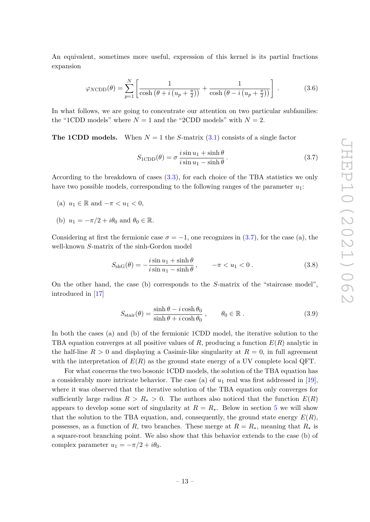An equivalent, sometimes more useful, expression of this kernel is its partial fractions expansion

<span id="page-14-1"></span>
$$
\varphi_{N\text{CDD}}(\theta) = \sum_{p=1}^{N} \left[ \frac{1}{\cosh\left(\theta + i\left(u_p + \frac{\pi}{2}\right)\right)} + \frac{1}{\cosh\left(\theta - i\left(u_p + \frac{\pi}{2}\right)\right)} \right].
$$
 (3.6)

In what follows, we are going to concentrate our attention on two particular subfamilies: the "1CDD models" where  $N = 1$  and the "2CDD models" with  $N = 2$ .

**The 1CDD models.** When  $N = 1$  the *S*-matrix  $(3.1)$  consists of a single factor

<span id="page-14-0"></span>
$$
S_{1\text{CDD}}(\theta) = \sigma \frac{i \sin u_1 + \sinh \theta}{i \sin u_1 - \sinh \theta}.
$$
 (3.7)

According to the breakdown of cases [\(3.3\)](#page-13-0), for each choice of the TBA statistics we only have two possible models, corresponding to the following ranges of the parameter *u*1:

- (a)  $u_1 \in \mathbb{R}$  and  $-\pi < u_1 < 0$ ,
- (b)  $u_1 = -\pi/2 + i\theta_0$  and  $\theta_0 \in \mathbb{R}$ .

Considering at first the fermionic case  $\sigma = -1$ , one recognizes in [\(3.7\)](#page-14-0), for the case (a), the well-known *S*-matrix of the sinh-Gordon model

$$
S_{\text{shG}}(\theta) = -\frac{i \sin u_1 + \sinh \theta}{i \sin u_1 - \sinh \theta}, \qquad -\pi < u_1 < 0. \tag{3.8}
$$

On the other hand, the case (b) corresponds to the *S*-matrix of the "staircase model", introduced in [\[17\]](#page-35-10)

$$
S_{\text{stair}}(\theta) = \frac{\sinh \theta - i \cosh \theta_0}{\sinh \theta + i \cosh \theta_0}, \qquad \theta_0 \in \mathbb{R} . \tag{3.9}
$$

In both the cases (a) and (b) of the fermionic 1CDD model, the iterative solution to the TBA equation converges at all positive values of *R*, producing a function *E*(*R*) analytic in the half-line  $R > 0$  and displaying a Casimir-like singularity at  $R = 0$ , in full agreement with the interpretation of  $E(R)$  as the ground state energy of a UV complete local QFT.

For what concerns the two bosonic 1CDD models, the solution of the TBA equation has a considerably more intricate behavior. The case (a) of *u*<sup>1</sup> real was first addressed in [\[19\]](#page-35-12), where it was observed that the iterative solution of the TBA equation only converges for sufficiently large radius  $R > R_* > 0$ . The authors also noticed that the function  $E(R)$ appears to develop some sort of singularity at  $R = R_{\ast}$ . Below in section [5](#page-22-0) we will show that the solution to the TBA equation, and, consequently, the ground state energy  $E(R)$ , possesses, as a function of *R*, two branches. These merge at  $R = R_*$ , meaning that  $R_*$  is a square-root branching point. We also show that this behavior extends to the case (b) of complex parameter  $u_1 = -\pi/2 + i\theta_0$ .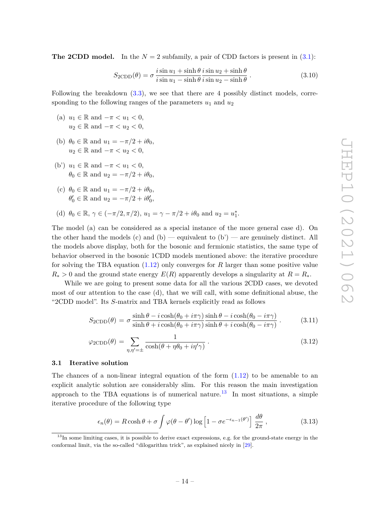**The 2CDD model.** In the  $N = 2$  subfamily, a pair of CDD factors is present in  $(3.1)$ :

$$
S_{2\text{CDD}}(\theta) = \sigma \frac{i \sin u_1 + \sinh \theta i \sin u_2 + \sinh \theta}{i \sin u_1 - \sinh \theta i \sin u_2 - \sinh \theta}.
$$
 (3.10)

Following the breakdown  $(3.3)$ , we see that there are 4 possibly distinct models, corresponding to the following ranges of the parameters  $u_1$  and  $u_2$ 

- (a)  $u_1 \in \mathbb{R}$  and  $-\pi < u_1 < 0$ ,  $u_2 \in \mathbb{R}$  and  $-\pi < u_2 < 0$ ,
- (b)  $\theta_0 \in \mathbb{R}$  and  $u_1 = -\pi/2 + i\theta_0$ ,  $u_2 \in \mathbb{R}$  and  $-\pi < u_2 < 0$ ,
- (b')  $u_1 \in \mathbb{R}$  and  $-\pi < u_1 < 0$ ,  $\theta_0 \in \mathbb{R}$  and  $u_2 = -\pi/2 + i\theta_0$ ,
- (c)  $\theta_0 \in \mathbb{R}$  and  $u_1 = -\pi/2 + i\theta_0$ ,  $\theta'_0 \in \mathbb{R}$  and  $u_2 = -\pi/2 + i\theta'_0$ ,
- (d)  $\theta_0 \in \mathbb{R}, \gamma \in (-\pi/2, \pi/2), u_1 = \gamma \pi/2 + i\theta_0 \text{ and } u_2 = u_1^*$ .

The model (a) can be considered as a special instance of the more general case d). On the other hand the models (c) and (b) — equivalent to  $(b')$  — are genuinely distinct. All the models above display, both for the bosonic and fermionic statistics, the same type of behavior observed in the bosonic 1CDD models mentioned above: the iterative procedure for solving the TBA equation [\(1.12\)](#page-6-2) only converges for *R* larger than some positive value  $R_*$  > 0 and the ground state energy  $E(R)$  apparently develops a singularity at  $R = R_*$ .

While we are going to present some data for all the various 2CDD cases, we devoted most of our attention to the case (d), that we will call, with some definitional abuse, the "2CDD model". Its *S*-matrix and TBA kernels explicitly read as follows

<span id="page-15-3"></span>
$$
S_{2\text{CDD}}(\theta) = \sigma \frac{\sinh \theta - i \cosh(\theta_0 + i\pi\gamma)}{\sinh \theta + i \cosh(\theta_0 + i\pi\gamma)} \frac{\sinh \theta - i \cosh(\theta_0 - i\pi\gamma)}{\sinh \theta + i \cosh(\theta_0 - i\pi\gamma)}.
$$
(3.11)

$$
\varphi_{2\text{CDD}}(\theta) = \sum_{\eta,\eta'=\pm} \frac{1}{\cosh(\theta + \eta \theta_0 + i\eta' \gamma)}.
$$
\n(3.12)

#### <span id="page-15-0"></span>**3.1 Iterative solution**

The chances of a non-linear integral equation of the form  $(1.12)$  to be amenable to an explicit analytic solution are considerably slim. For this reason the main investigation approach to the TBA equations is of numerical nature.<sup>[13](#page-15-1)</sup> In most situations, a simple iterative procedure of the following type

<span id="page-15-2"></span>
$$
\epsilon_n(\theta) = R \cosh \theta + \sigma \int \varphi(\theta - \theta') \log \left[ 1 - \sigma e^{-\epsilon_{n-1}(\theta')} \right] \frac{d\theta}{2\pi}, \qquad (3.13)
$$

<span id="page-15-1"></span><sup>&</sup>lt;sup>13</sup>In some limiting cases, it is possible to derive exact expressions, e.g. for the ground-state energy in the conformal limit, via the so-called "dilogarithm trick", as explained nicely in [\[29\]](#page-36-1).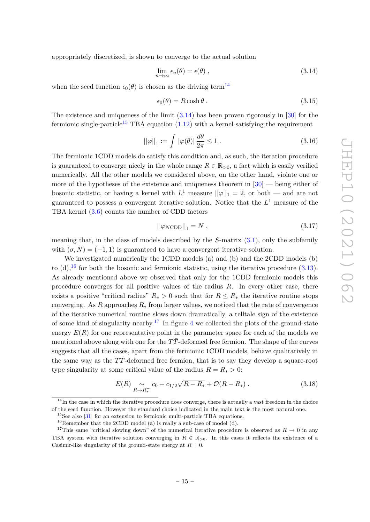appropriately discretized, is shown to converge to the actual solution

<span id="page-16-1"></span>
$$
\lim_{n \to \infty} \epsilon_n(\theta) = \epsilon(\theta) , \qquad (3.14)
$$

when the seed function  $\epsilon_0(\theta)$  is chosen as the driving term<sup>[14](#page-16-0)</sup>

$$
\epsilon_0(\theta) = R \cosh \theta \,. \tag{3.15}
$$

The existence and uniqueness of the limit  $(3.14)$  has been proven rigorously in [\[30\]](#page-36-2) for the fermionic single-particle<sup>[15](#page-16-2)</sup> TBA equation  $(1.12)$  with a kernel satisfying the requirement

$$
||\varphi||_1 := \int |\varphi(\theta)| \frac{d\theta}{2\pi} \le 1.
$$
\n(3.16)

The fermionic 1CDD models do satisfy this condition and, as such, the iteration procedure is guaranteed to converge nicely in the whole range  $R \in \mathbb{R}_{>0}$ , a fact which is easily verified numerically. All the other models we considered above, on the other hand, violate one or more of the hypotheses of the existence and uniqueness theorem in  $[30]$  — being either of bosonic statistic, or having a kernel with  $L^1$  measure  $||\varphi||_1 = 2$ , or both — and are not guaranteed to possess a convergent iterative solution. Notice that the *L* <sup>1</sup> measure of the TBA kernel [\(3.6\)](#page-14-1) counts the number of CDD factors

<span id="page-16-6"></span>
$$
||\varphi_{N\text{CDD}}||_1 = N \,,\tag{3.17}
$$

meaning that, in the class of models described by the *S*-matrix [\(3.1\)](#page-12-2), only the subfamily with  $(\sigma, N) = (-1, 1)$  is guaranteed to have a convergent iterative solution.

We investigated numerically the 1CDD models (a) and (b) and the 2CDD models (b) to (d),  $^{16}$  $^{16}$  $^{16}$  for both the bosonic and fermionic statistic, using the iterative procedure [\(3.13\)](#page-15-2). As already mentioned above we observed that only for the 1CDD fermionic models this procedure converges for all positive values of the radius *R*. In every other case, there exists a positive "critical radius"  $R_* > 0$  such that for  $R \leq R_*$  the iterative routine stops converging. As *R* approaches  $R_*$  from larger values, we noticed that the rate of convergence of the iterative numerical routine slows down dramatically, a telltale sign of the existence of some kind of singularity nearby.<sup>[17](#page-16-4)</sup> In figure [4](#page-17-1) we collected the plots of the ground-state energy  $E(R)$  for one representative point in the parameter space for each of the models we mentioned above along with one for the  $T\bar{T}$ -deformed free fermion. The shape of the curves suggests that all the cases, apart from the fermionic 1CDD models, behave qualitatively in the same way as the *TT*¯-deformed free fermion, that is to say they develop a square-root type singularity at some critical value of the radius  $R = R_* > 0$ :

<span id="page-16-5"></span>
$$
E(R) \underset{R \to R_*^+}{\sim} c_0 + c_{1/2} \sqrt{R - R_*} + \mathcal{O}(R - R_*) . \tag{3.18}
$$

<span id="page-16-0"></span> $14$ In the case in which the iterative procedure does converge, there is actually a vast freedom in the choice of the seed function. However the standard choice indicated in the main text is the most natural one.

<span id="page-16-2"></span> $15$ See also [\[31\]](#page-36-3) for an extension to fermionic multi-particle TBA equations.

<span id="page-16-4"></span><span id="page-16-3"></span> $16$ Remember that the 2CDD model (a) is really a sub-case of model (d).

<sup>&</sup>lt;sup>17</sup>This same "critical slowing down" of the numerical iterative procedure is observed as  $R \to 0$  in any TBA system with iterative solution converging in  $R \in \mathbb{R}_{>0}$ . In this cases it reflects the existence of a Casimir-like singularity of the ground-state energy at  $R = 0$ .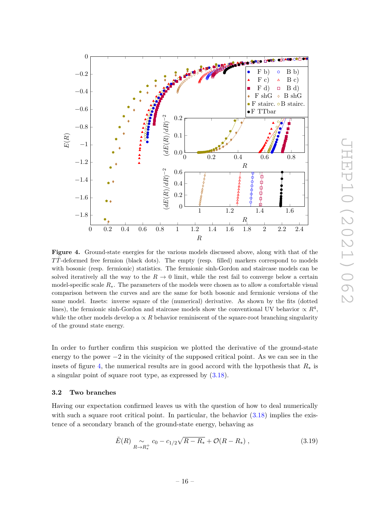<span id="page-17-1"></span>

**Figure 4.** Ground-state energies for the various models discussed above, along with that of the *TT*¯-deformed free fermion (black dots). The empty (resp. filled) markers correspond to models with bosonic (resp. fermionic) statistics. The fermionic sinh-Gordon and staircase models can be solved iteratively all the way to the  $R \to 0$  limit, while the rest fail to converge below a certain model-specific scale *R*∗. The parameters of the models were chosen as to allow a comfortable visual comparison between the curves and are the same for both bosonic and fermionic versions of the same model. Insets: inverse square of the (numerical) derivative. As shown by the fits (dotted lines), the fermionic sinh-Gordon and staircase models show the conventional UV behavior  $\propto R^4$ , while the other models develop a  $\propto R$  behavior reminiscent of the square-root branching singularity of the ground state energy.

In order to further confirm this suspicion we plotted the derivative of the ground-state energy to the power  $-2$  in the vicinity of the supposed critical point. As we can see in the insets of figure [4,](#page-17-1) the numerical results are in good accord with the hypothesis that  $R_*$  is a singular point of square root type, as expressed by [\(3.18\)](#page-16-5).

# <span id="page-17-0"></span>**3.2 Two branches**

Having our expectation confirmed leaves us with the question of how to deal numerically with such a square root critical point. In particular, the behavior  $(3.18)$  implies the existence of a secondary branch of the ground-state energy, behaving as

<span id="page-17-2"></span>
$$
\tilde{E}(R) \underset{R \to R_*^+}{\sim} c_0 - c_{1/2} \sqrt{R - R_*} + \mathcal{O}(R - R_*) , \qquad (3.19)
$$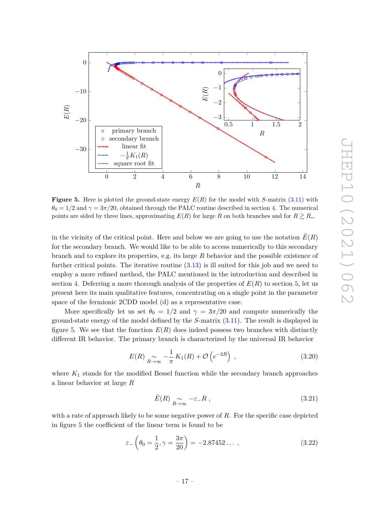<span id="page-18-0"></span>

**Figure 5.** Here is plotted the ground-state energy  $E(R)$  for the model with *S*-matrix [\(3.11\)](#page-15-3) with  $\theta_0 = 1/2$  and  $\gamma = 3\pi/20$ , obtained through the PALC routine described in section [4.](#page-19-0) The numerical points are sided by three lines, approximating  $E(R)$  for large R on both branches and for  $R \gtrsim R_*$ .

in the vicinity of the critical point. Here and below we are going to use the notation  $E(R)$ for the secondary branch. We would like to be able to access numerically to this secondary branch and to explore its properties, e.g. its large *R* behavior and the possible existence of further critical points. The iterative routine  $(3.13)$  is ill suited for this job and we need to employ a more refined method, the PALC mentioned in the introduction and described in section [4.](#page-19-0) Deferring a more thorough analysis of the properties of  $E(R)$  to section [5,](#page-22-0) let us present here its main qualitative features, concentrating on a single point in the parameter space of the fermionic 2CDD model (d) as a representative case.

More specifically let us set  $\theta_0 = 1/2$  and  $\gamma = 3\pi/20$  and compute numerically the ground-state energy of the model defined by the *S*-matrix [\(3.11\)](#page-15-3). The result is displayed in figure [5.](#page-18-0) We see that the function  $E(R)$  does indeed possess two branches with distinctly different IR behavior. The primary branch is characterized by the universal IR behavior

<span id="page-18-1"></span>
$$
E(R) \underset{R \to \infty}{\sim} -\frac{1}{\pi} K_1(R) + \mathcal{O}\left(e^{-2R}\right) , \qquad (3.20)
$$

where *K*<sup>1</sup> stands for the modified Bessel function while the secondary branch approaches a linear behavior at large *R*

<span id="page-18-2"></span>
$$
\tilde{E}(R) \underset{R \to \infty}{\sim} -\varepsilon_{-} R \,, \tag{3.21}
$$

with a rate of approach likely to be some negative power of *R*. For the specific case depicted in figure [5](#page-18-0) the coefficient of the linear term is found to be

$$
\varepsilon_{-}\left(\theta_{0}=\frac{1}{2},\gamma=\frac{3\pi}{20}\right)=-2.87452\ldots, \qquad (3.22)
$$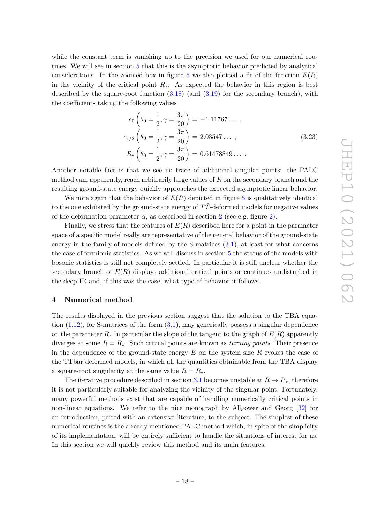while the constant term is vanishing up to the precision we used for our numerical routines. We will see in section [5](#page-22-0) that this is the asymptotic behavior predicted by analytical considerations. In the zoomed box in figure [5](#page-18-0) we also plotted a fit of the function  $E(R)$ in the vicinity of the critical point  $R_{*}$ . As expected the behavior in this region is best described by the square-root function  $(3.18)$  (and  $(3.19)$ ) for the secondary branch), with the coefficients taking the following values

$$
c_0 \left( \theta_0 = \frac{1}{2}, \gamma = \frac{3\pi}{20} \right) = -1.11767 \dots ,
$$
  
\n
$$
c_{1/2} \left( \theta_0 = \frac{1}{2}, \gamma = \frac{3\pi}{20} \right) = 2.03547 \dots ,
$$
  
\n
$$
R_* \left( \theta_0 = \frac{1}{2}, \gamma = \frac{3\pi}{20} \right) = 0.61478849 \dots .
$$
\n(3.23)

Another notable fact is that we see no trace of additional singular points: the PALC method can, apparently, reach arbitrarily large values of *R* on the secondary branch and the resulting ground-state energy quickly approaches the expected asymptotic linear behavior.

We note again that the behavior of  $E(R)$  depicted in figure [5](#page-18-0) is qualitatively identical to the one exhibited by the ground-state energy of TT-deformed models for negative values of the deformation parameter  $\alpha$ , as described in section [2](#page-9-0) (see e.g. figure [2\)](#page-11-0).

Finally, we stress that the features of *E*(*R*) described here for a point in the parameter space of a specific model really are representative of the general behavior of the ground-state energy in the family of models defined by the S-matrices [\(3.1\)](#page-12-2), at least for what concerns the case of fermionic statistics. As we will discuss in section [5](#page-22-0) the status of the models with bosonic statistics is still not completely settled. In particular it is still unclear whether the secondary branch of  $E(R)$  displays additional critical points or continues undisturbed in the deep IR and, if this was the case, what type of behavior it follows.

#### <span id="page-19-0"></span>**4 Numerical method**

The results displayed in the previous section suggest that the solution to the TBA equation  $(1.12)$ , for S-matrices of the form  $(3.1)$ , may generically possess a singular dependence on the parameter  $R$ . In particular the slope of the tangent to the graph of  $E(R)$  apparently diverges at some  $R = R_{\ast}$ . Such critical points are known as *turning points*. Their presence in the dependence of the ground-state energy *E* on the system size *R* evokes the case of the TTbar deformed models, in which all the quantities obtainable from the TBA display a square-root singularity at the same value  $R = R_*$ .

The iterative procedure described in section [3.1](#page-15-0) becomes unstable at  $R \to R_*$ , therefore it is not particularly suitable for analyzing the vicinity of the singular point. Fortunately, many powerful methods exist that are capable of handling numerically critical points in non-linear equations. We refer to the nice monograph by Allgower and Georg [\[32\]](#page-36-4) for an introduction, paired with an extensive literature, to the subject. The simplest of these numerical routines is the already mentioned PALC method which, in spite of the simplicity of its implementation, will be entirely sufficient to handle the situations of interest for us. In this section we will quickly review this method and its main features.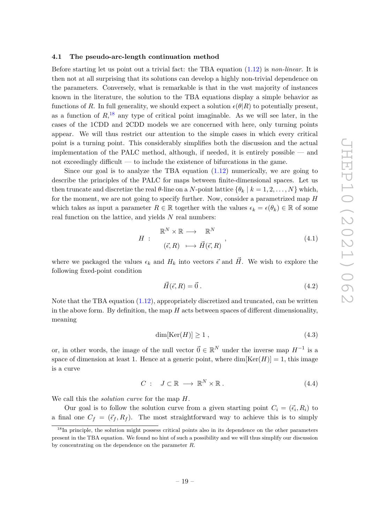# <span id="page-20-0"></span>**4.1 The pseudo-arc-length continuation method**

Before starting let us point out a trivial fact: the TBA equation [\(1.12\)](#page-6-2) is *non-linear*. It is then not at all surprising that its solutions can develop a highly non-trivial dependence on the parameters. Conversely, what is remarkable is that in the vast majority of instances known in the literature, the solution to the TBA equations display a simple behavior as functions of *R*. In full generality, we should expect a solution  $\epsilon(\theta|R)$  to potentially present, as a function of  $R<sup>18</sup>$  $R<sup>18</sup>$  $R<sup>18</sup>$ , any type of critical point imaginable. As we will see later, in the cases of the 1CDD and 2CDD models we are concerned with here, only turning points appear. We will thus restrict our attention to the simple cases in which every critical point is a turning point. This considerably simplifies both the discussion and the actual implementation of the PALC method, although, if needed, it is entirely possible — and not exceedingly difficult — to include the existence of bifurcations in the game.

Since our goal is to analyze the TBA equation  $(1.12)$  numerically, we are going to describe the principles of the PALC for maps between finite-dimensional spaces. Let us then truncate and discretize the real  $\theta$ -line on a *N*-point lattice  $\{\theta_k \mid k = 1, 2, \ldots, N\}$  which, for the moment, we are not going to specify further. Now, consider a parametrized map *H* which takes as input a parameter  $R \in \mathbb{R}$  together with the values  $\epsilon_k = \epsilon(\theta_k) \in \mathbb{R}$  of some real function on the lattice, and yields *N* real numbers:

$$
H : \begin{array}{c} \mathbb{R}^N \times \mathbb{R} \longrightarrow \mathbb{R}^N \\ (\vec{\epsilon}, R) \longmapsto \vec{H}(\vec{\epsilon}, R) \end{array}, \tag{4.1}
$$

where we packaged the values  $\epsilon_k$  and  $H_k$  into vectors  $\vec{\epsilon}$  and  $\vec{H}$ . We wish to explore the following fixed-point condition

<span id="page-20-2"></span>
$$
\vec{H}(\vec{\epsilon},R) = \vec{0} \tag{4.2}
$$

Note that the TBA equation [\(1.12\)](#page-6-2), appropriately discretized and truncated, can be written in the above form. By definition, the map *H* acts between spaces of different dimensionality, meaning

$$
\dim[\text{Ker}(H)] \ge 1 \tag{4.3}
$$

or, in other words, the image of the null vector  $\vec{0} \in \mathbb{R}^N$  under the inverse map  $H^{-1}$  is a space of dimension at least 1. Hence at a generic point, where  $\dim[\text{Ker}(H)] = 1$ , this image is a curve

$$
C: J \subset \mathbb{R} \longrightarrow \mathbb{R}^N \times \mathbb{R} \tag{4.4}
$$

We call this the *solution curve* for the map *H*.

Our goal is to follow the solution curve from a given starting point  $C_i = (\vec{\epsilon}_i, R_i)$  to a final one  $C_f = (\vec{\epsilon}_f, R_f)$ . The most straightforward way to achieve this is to simply

<span id="page-20-1"></span><sup>&</sup>lt;sup>18</sup>In principle, the solution might possess critical points also in its dependence on the other parameters present in the TBA equation. We found no hint of such a possibility and we will thus simplify our discussion by concentrating on the dependence on the parameter *R*.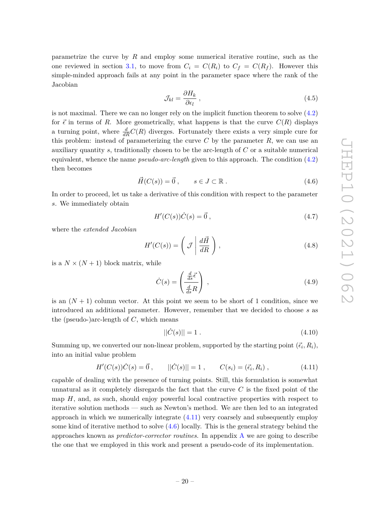parametrize the curve by *R* and employ some numerical iterative routine, such as the one reviewed in section [3.1,](#page-15-0) to move from  $C_i = C(R_i)$  to  $C_f = C(R_f)$ . However this simple-minded approach fails at any point in the parameter space where the rank of the Jacobian

$$
\mathcal{J}_{kl} = \frac{\partial H_k}{\partial \epsilon_l} \,, \tag{4.5}
$$

is not maximal. There we can no longer rely on the implicit function theorem to solve  $(4.2)$ for  $\vec{\epsilon}$  in terms of *R*. More geometrically, what happens is that the curve  $C(R)$  displays a turning point, where  $\frac{d}{dR}C(R)$  diverges. Fortunately there exists a very simple cure for this problem: instead of parameterizing the curve  $C$  by the parameter  $R$ , we can use an auxiliary quantity *s*, traditionally chosen to be the arc-length of *C* or a suitable numerical equivalent, whence the name *pseudo-arc-length* given to this approach. The condition [\(4.2\)](#page-20-2) then becomes

<span id="page-21-1"></span>
$$
\vec{H}(C(s)) = \vec{0}, \qquad s \in J \subset \mathbb{R} \,. \tag{4.6}
$$

In order to proceed, let us take a derivative of this condition with respect to the parameter *s*. We immediately obtain

$$
H'(C(s))\dot{C}(s) = \vec{0},\qquad(4.7)
$$

where the *extended Jacobian*

$$
H'(C(s)) = \left(\mathcal{J} \left| \frac{d\vec{H}}{dR} \right.\right),\tag{4.8}
$$

is a  $N \times (N+1)$  block matrix, while

$$
\dot{C}(s) = \left(\frac{\frac{d}{ds}\vec{\epsilon}}{\frac{d}{ds}R}\right) \tag{4.9}
$$

is an  $(N+1)$  column vector. At this point we seem to be short of 1 condition, since we introduced an additional parameter. However, remember that we decided to choose *s* as the (pseudo-)arc-length of *C*, which means

$$
||\dot{C}(s)|| = 1.
$$
\n(4.10)

Summing up, we converted our non-linear problem, supported by the starting point  $(\vec{\epsilon}_i, R_i)$ , into an initial value problem

<span id="page-21-0"></span>
$$
H'(C(s))\dot{C}(s) = \vec{0}, \qquad ||\dot{C}(s)|| = 1, \qquad C(s_i) = (\vec{\epsilon}_i, R_i), \qquad (4.11)
$$

capable of dealing with the presence of turning points. Still, this formulation is somewhat unnatural as it completely disregards the fact that the curve *C* is the fixed point of the map *H*, and, as such, should enjoy powerful local contractive properties with respect to iterative solution methods — such as Newton's method. We are then led to an integrated approach in which we numerically integrate [\(4.11\)](#page-21-0) very coarsely and subsequently employ some kind of iterative method to solve  $(4.6)$  locally. This is the general strategy behind the approaches known as *predictor-corrector routines*. In appendix [A](#page-31-0) we are going to describe the one that we employed in this work and present a pseudo-code of its implementation.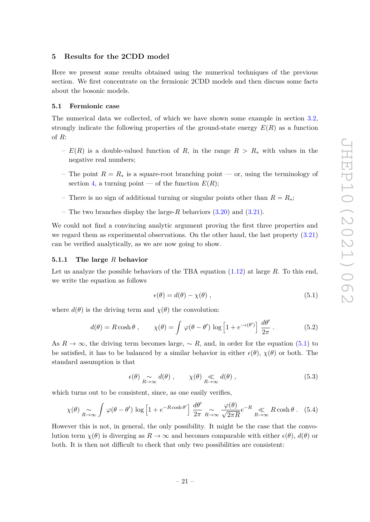# <span id="page-22-0"></span>**5 Results for the 2CDD model**

Here we present some results obtained using the numerical techniques of the previous section. We first concentrate on the fermionic 2CDD models and then discuss some facts about the bosonic models.

# <span id="page-22-1"></span>**5.1 Fermionic case**

The numerical data we collected, of which we have shown some example in section [3.2,](#page-17-0) strongly indicate the following properties of the ground-state energy  $E(R)$  as a function of *R*:

- *E*(*R*) is a double-valued function of *R*, in the range *R > R*<sup>∗</sup> with values in the negative real numbers;
- The point  $R = R_*$  is a square-root branching point or, using the terminology of section [4,](#page-19-0) a turning point — of the function  $E(R)$ ;
- There is no sign of additional turning or singular points other than  $R = R_*$ ;
- The two branches display the large-*R* behaviors [\(3.20\)](#page-18-1) and [\(3.21\)](#page-18-2).

We could not find a convincing analytic argument proving the first three properties and we regard them as experimental observations. On the other hand, the last property [\(3.21\)](#page-18-2) can be verified analytically, as we are now going to show.

#### <span id="page-22-2"></span>**5.1.1 The large** *R* **behavior**

Let us analyze the possible behaviors of the TBA equation [\(1.12\)](#page-6-2) at large *R*. To this end, we write the equation as follows

<span id="page-22-3"></span>
$$
\epsilon(\theta) = d(\theta) - \chi(\theta) \tag{5.1}
$$

where  $d(\theta)$  is the driving term and  $\chi(\theta)$  the convolution:

$$
d(\theta) = R \cosh \theta, \qquad \chi(\theta) = \int \varphi(\theta - \theta') \log \left[ 1 + e^{-\epsilon(\theta')} \right] \frac{d\theta'}{2\pi}.
$$
 (5.2)

As  $R \to \infty$ , the driving term becomes large,  $\sim R$ , and, in order for the equation [\(5.1\)](#page-22-3) to be satisfied, it has to be balanced by a similar behavior in either  $\epsilon(\theta)$ ,  $\chi(\theta)$  or both. The standard assumption is that

<span id="page-22-4"></span>
$$
\epsilon(\theta) \underset{R \to \infty}{\sim} d(\theta) , \qquad \chi(\theta) \underset{R \to \infty}{\ll} d(\theta) , \qquad (5.3)
$$

which turns out to be consistent, since, as one easily verifies,

<span id="page-22-5"></span>
$$
\chi(\theta) \underset{R \to \infty}{\sim} \int \varphi(\theta - \theta') \log \left[ 1 + e^{-R \cosh \theta'} \right] \frac{d\theta'}{2\pi} \underset{R \to \infty}{\sim} \frac{\varphi(\theta)}{\sqrt{2\pi R}} e^{-R} \underset{R \to \infty}{\ll} R \cosh \theta. \quad (5.4)
$$

However this is not, in general, the only possibility. It might be the case that the convolution term  $\chi(\theta)$  is diverging as  $R \to \infty$  and becomes comparable with either  $\epsilon(\theta)$ ,  $d(\theta)$  or both. It is then not difficult to check that only two possibilities are consistent: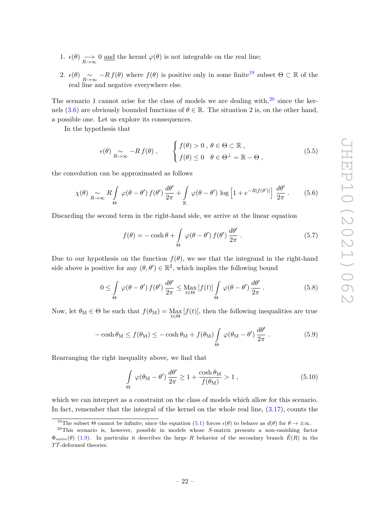1.  $\epsilon(\theta) \longrightarrow_{R \to \infty} 0$  and the kernel  $\varphi(\theta)$  is not integrable on the real line;

2.  $\epsilon(\theta) \underset{R\to\infty}{\sim} -R f(\theta)$  where  $f(\theta)$  is positive only in some finite<sup>[19](#page-23-0)</sup> subset  $\Theta \subset \mathbb{R}$  of the real line and negative everywhere else.

The scenario 1 cannot arise for the class of models we are dealing with, $^{20}$  $^{20}$  $^{20}$  since the ker-nels [\(3.6\)](#page-14-1) are obviously bounded functions of  $\theta \in \mathbb{R}$ . The situation 2 is, on the other hand, a possible one. Let us explore its consequences.

In the hypothesis that

<span id="page-23-2"></span>
$$
\epsilon(\theta) \underset{R \to \infty}{\sim} -R f(\theta) , \qquad \begin{cases} f(\theta) > 0 , \ \theta \in \Theta \subset \mathbb{R} , \\ f(\theta) \le 0 \quad \theta \in \Theta^{\perp} = \mathbb{R} - \Theta , \end{cases}
$$
 (5.5)

the convolution can be approximated as follows

$$
\chi(\theta) \underset{R \to \infty}{\sim} R \int_{\Theta} \varphi(\theta - \theta') f(\theta') \frac{d\theta'}{2\pi} + \int_{\mathbb{R}} \varphi(\theta - \theta') \log \left[1 + e^{-R|f(\theta')|} \right] \frac{d\theta'}{2\pi} \,. \tag{5.6}
$$

Discarding the second term in the right-hand side, we arrive at the linear equation

$$
f(\theta) = -\cosh\theta + \int_{\Theta} \varphi(\theta - \theta') f(\theta') \frac{d\theta'}{2\pi}.
$$
 (5.7)

Due to our hypothesis on the function  $f(\theta)$ , we see that the integrand in the right-hand side above is positive for any  $(\theta, \theta') \in \mathbb{R}^2$ , which implies the following bound

$$
0 \leq \int_{\Theta} \varphi(\theta - \theta') f(\theta') \frac{d\theta'}{2\pi} \leq \max_{t \in \Theta} [f(t)] \int_{\Theta} \varphi(\theta - \theta') \frac{d\theta'}{2\pi}.
$$
 (5.8)

Now, let  $\theta_M \in \Theta$  be such that  $f(\theta_M) = \max_{t \in \Theta} [f(t)]$ , then the following inequalities are true

$$
-\cosh\theta_{\rm M} \le f(\theta_{\rm M}) \le -\cosh\theta_{\rm M} + f(\theta_{\rm M}) \int_{\Theta} \varphi(\theta_{\rm M} - \theta') \frac{d\theta'}{2\pi} \,. \tag{5.9}
$$

Rearranging the right inequality above, we find that

$$
\int_{\Theta} \varphi(\theta_{\rm M} - \theta') \frac{d\theta'}{2\pi} \ge 1 + \frac{\cosh \theta_{\rm M}}{f(\theta_{\rm M})} > 1 , \qquad (5.10)
$$

which we can interpret as a constraint on the class of models which allow for this scenario. In fact, remember that the integral of the kernel on the whole real line,  $(3.17)$ , counts the

<span id="page-23-1"></span><span id="page-23-0"></span><sup>&</sup>lt;sup>19</sup>The subset  $\Theta$  cannot be infinite, since the equation [\(5.1\)](#page-22-3) forces  $\epsilon(\theta)$  to behave as  $d(\theta)$  for  $\theta \to \pm \infty$ .

<sup>20</sup>This scenario is, however, possible in models whose *S*-matrix presents a non-vanishing factor  $\Phi_{\text{entire}}(\theta)$  [\(1.9\)](#page-5-4). In particular it describes the large *R* behavior of the secondary branch  $\tilde{E}(R)$  in the *TT*¯-deformed theories.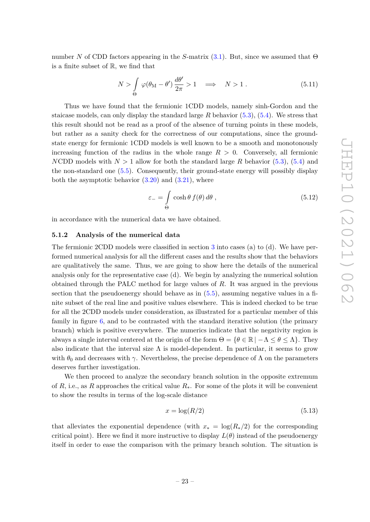number *N* of CDD factors appearing in the *S*-matrix [\(3.1\)](#page-12-2). But, since we assumed that Θ is a finite subset of R, we find that

$$
N > \int_{\Theta} \varphi(\theta_M - \theta') \frac{d\theta'}{2\pi} > 1 \quad \Longrightarrow \quad N > 1.
$$
 (5.11)

Thus we have found that the fermionic 1CDD models, namely sinh-Gordon and the staicase models, can only display the standard large *R* behavior [\(5.3\)](#page-22-4), [\(5.4\)](#page-22-5). We stress that this result should not be read as a proof of the absence of turning points in these models, but rather as a sanity check for the correctness of our computations, since the groundstate energy for fermionic 1CDD models is well known to be a smooth and monotonously increasing function of the radius in the whole range  $R > 0$ . Conversely, all fermionic *N*CDD models with  $N > 1$  allow for both the standard large *R* behavior [\(5.3\)](#page-22-4), [\(5.4\)](#page-22-5) and the non-standard one [\(5.5\)](#page-23-2). Consequently, their ground-state energy will possibly display both the asymptotic behavior  $(3.20)$  and  $(3.21)$ , where

$$
\varepsilon_{-} = \int_{\Theta} \cosh \theta \, f(\theta) \, d\theta \,, \tag{5.12}
$$

in accordance with the numerical data we have obtained.

# <span id="page-24-0"></span>**5.1.2 Analysis of the numerical data**

The fermionic 2CDD models were classified in section [3](#page-12-0) into cases (a) to (d). We have performed numerical analysis for all the different cases and the results show that the behaviors are qualitatively the same. Thus, we are going to show here the details of the numerical analysis only for the representative case (d). We begin by analyzing the numerical solution obtained through the PALC method for large values of *R*. It was argued in the previous section that the pseudoenergy should behave as in  $(5.5)$ , assuming negative values in a finite subset of the real line and positive values elsewhere. This is indeed checked to be true for all the 2CDD models under consideration, as illustrated for a particular member of this family in figure [6,](#page-25-0) and to be contrasted with the standard iterative solution (the primary branch) which is positive everywhere. The numerics indicate that the negativity region is always a single interval centered at the origin of the form  $\Theta = \{ \theta \in \mathbb{R} \mid -\Lambda \leq \theta \leq \Lambda \}.$  They also indicate that the interval size  $\Lambda$  is model-dependent. In particular, it seems to grow with  $\theta_0$  and decreases with  $\gamma$ . Nevertheless, the precise dependence of  $\Lambda$  on the parameters deserves further investigation.

We then proceed to analyze the secondary branch solution in the opposite extremum of *R*, i.e., as *R* approaches the critical value *R*∗. For some of the plots it will be convenient to show the results in terms of the log-scale distance

$$
x = \log(R/2) \tag{5.13}
$$

that alleviates the exponential dependence (with  $x_* = \log(R_*/2)$  for the corresponding critical point). Here we find it more instructive to display  $L(\theta)$  instead of the pseudoenergy itself in order to ease the comparison with the primary branch solution. The situation is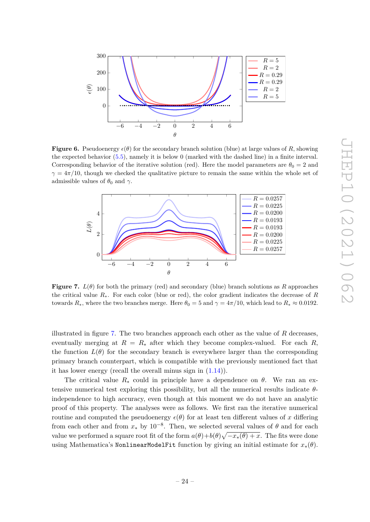<span id="page-25-0"></span>

**Figure 6.** Pseudoenergy  $\epsilon(\theta)$  for the secondary branch solution (blue) at large values of *R*, showing the expected behavior [\(5.5\)](#page-23-2), namely it is below 0 (marked with the dashed line) in a finite interval. Corresponding behavior of the iterative solution (red). Here the model parameters are  $\theta_0 = 2$  and  $\gamma = 4\pi/10$ , though we checked the qualitative picture to remain the same within the whole set of admissible values of  $\theta_0$  and  $\gamma$ .

<span id="page-25-1"></span>

**Figure 7.**  $L(\theta)$  for both the primary (red) and secondary (blue) branch solutions as R approaches the critical value *R*∗. For each color (blue or red), the color gradient indicates the decrease of *R* towards  $R_*$ , where the two branches merge. Here  $\theta_0 = 5$  and  $\gamma = 4\pi/10$ , which lead to  $R_* \approx 0.0192$ .

illustrated in figure [7.](#page-25-1) The two branches approach each other as the value of *R* decreases, eventually merging at  $R = R_*$  after which they become complex-valued. For each R, the function  $L(\theta)$  for the secondary branch is everywhere larger than the corresponding primary branch counterpart, which is compatible with the previously mentioned fact that it has lower energy (recall the overall minus sign in [\(1.14\)](#page-6-3)).

The critical value  $R_*$  could in principle have a dependence on  $\theta$ . We ran an extensive numerical test exploring this possibility, but all the numerical results indicate *θ*independence to high accuracy, even though at this moment we do not have an analytic proof of this property. The analyses were as follows. We first ran the iterative numerical routine and computed the pseudoenergy  $\epsilon(\theta)$  for at least ten different values of *x* differing from each other and from  $x_*$  by 10<sup>-8</sup>. Then, we selected several values of  $\theta$  and for each value we performed a square root fit of the form  $a(\theta) + b(\theta)\sqrt{-x_*(\theta) + x}$ . The fits were done using Mathematica's NonlinearModelFit function by giving an initial estimate for *x*∗(*θ*).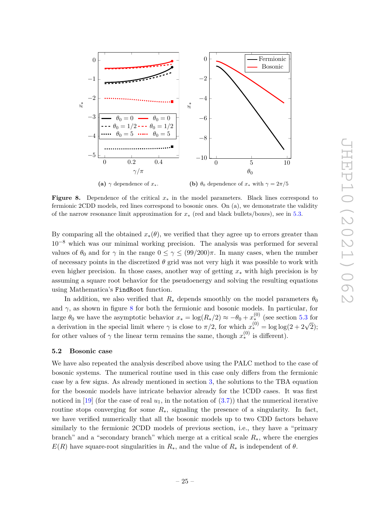<span id="page-26-1"></span>

**Figure 8.** Dependence of the critical *x*<sup>∗</sup> in the model parameters. Black lines correspond to fermionic 2CDD models, red lines correspond to bosonic ones. On (a), we demonstrate the validity of the narrow resonance limit approximation for *x*<sup>∗</sup> (red and black bullets/boxes), see in [5.3.](#page-28-0)

By comparing all the obtained  $x_*(\theta)$ , we verified that they agree up to errors greater than 10−<sup>8</sup> which was our minimal working precision. The analysis was performed for several values of  $\theta_0$  and for  $\gamma$  in the range  $0 \leq \gamma \leq (99/200)\pi$ . In many cases, when the number of necessary points in the discretized  $\theta$  grid was not very high it was possible to work with even higher precision. In those cases, another way of getting *x*<sup>∗</sup> with high precision is by assuming a square root behavior for the pseudoenergy and solving the resulting equations using Mathematica's FindRoot function.

In addition, we also verified that  $R_*$  depends smoothly on the model parameters  $\theta_0$ and  $\gamma$ , as shown in figure [8](#page-26-1) for both the fermionic and bosonic models. In particular, for large  $\theta_0$  we have the asymptotic behavior  $x_* = \log(R_*/2) \approx -\theta_0 + x_*^{(0)}$  (see section [5.3](#page-28-0) for a derivation in the special limit where  $\gamma$  is close to  $\pi/2$ , for which  $x_*^{(0)} = \log \log(2 + 2\sqrt{2})$ ; for other values of  $\gamma$  the linear term remains the same, though  $x_*^{(0)}$  is different).

#### <span id="page-26-0"></span>**5.2 Bosonic case**

We have also repeated the analysis described above using the PALC method to the case of bosonic systems. The numerical routine used in this case only differs from the fermionic case by a few signs. As already mentioned in section [3,](#page-12-0) the solutions to the TBA equation for the bosonic models have intricate behavior already for the 1CDD cases. It was first noticed in [\[19\]](#page-35-12) (for the case of real  $u_1$ , in the notation of  $(3.7)$ ) that the numerical iterative routine stops converging for some  $R_{*}$ , signaling the presence of a singularity. In fact, we have verified numerically that all the bosonic models up to two CDD factors behave similarly to the fermionic 2CDD models of previous section, i.e., they have a "primary branch" and a "secondary branch" which merge at a critical scale *R*∗, where the energies  $E(R)$  have square-root singularities in  $R_*,$  and the value of  $R_*$  is independent of  $\theta$ .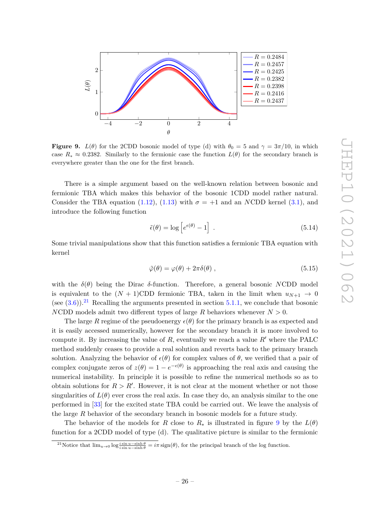<span id="page-27-1"></span>

**Figure 9.** *L*( $\theta$ ) for the 2CDD bosonic model of type (d) with  $\theta_0 = 5$  and  $\gamma = 3\pi/10$ , in which case  $R_* \approx 0.2382$ . Similarly to the fermionic case the function  $L(\theta)$  for the secondary branch is everywhere greater than the one for the first branch.

There is a simple argument based on the well-known relation between bosonic and fermionic TBA which makes this behavior of the bosonic 1CDD model rather natural. Consider the TBA equation [\(1.12\)](#page-6-2), [\(1.13\)](#page-6-4) with  $\sigma = +1$  and an *NCDD* kernel [\(3.1\)](#page-12-2), and introduce the following function

$$
\tilde{\epsilon}(\theta) = \log \left[ e^{\epsilon(\theta)} - 1 \right] \,. \tag{5.14}
$$

Some trivial manipulations show that this function satisfies a fermionic TBA equation with kernel

<span id="page-27-2"></span>
$$
\tilde{\varphi}(\theta) = \varphi(\theta) + 2\pi\delta(\theta) , \qquad (5.15)
$$

with the  $\delta(\theta)$  being the Dirac  $\delta$ -function. Therefore, a general bosonic *NCDD* model is equivalent to the  $(N + 1)$ CDD fermionic TBA, taken in the limit when  $u_{N+1} \rightarrow 0$ (see  $(3.6)$ ).<sup>[21](#page-27-0)</sup> Recalling the arguments presented in section [5.1.1,](#page-22-2) we conclude that bosonic *NCDD* models admit two different types of large *R* behaviors whenever  $N > 0$ .

The large R regime of the pseudoenergy  $\epsilon(\theta)$  for the primary branch is as expected and it is easily accessed numerically, however for the secondary branch it is more involved to compute it. By increasing the value of  $R$ , eventually we reach a value  $R'$  where the PALC method suddenly ceases to provide a real solution and reverts back to the primary branch solution. Analyzing the behavior of  $\epsilon(\theta)$  for complex values of  $\theta$ , we verified that a pair of complex conjugate zeros of  $z(\theta) = 1 - e^{-\epsilon(\theta)}$  is approaching the real axis and causing the numerical instability. In principle it is possible to refine the numerical methods so as to obtain solutions for  $R > R'$ . However, it is not clear at the moment whether or not those singularities of  $L(\theta)$  ever cross the real axis. In case they do, an analysis similar to the one performed in [\[33\]](#page-36-5) for the excited state TBA could be carried out. We leave the analysis of the large *R* behavior of the secondary branch in bosonic models for a future study.

The behavior of the models for *R* close to  $R_*$  is illustrated in figure [9](#page-27-1) by the  $L(\theta)$ function for a 2CDD model of type (d). The qualitative picture is similar to the fermionic

<span id="page-27-0"></span><sup>&</sup>lt;sup>21</sup>Notice that  $\lim_{u\to 0} \log \frac{i \sin u - \sinh \theta}{i \sin u - \sinh \theta} = i\pi \operatorname{sign}(\theta)$ , for the principal branch of the log function.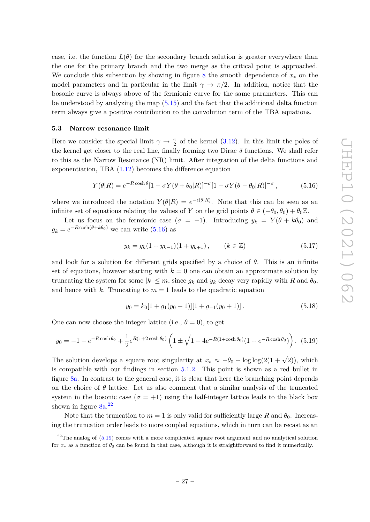case, i.e. the function  $L(\theta)$  for the secondary branch solution is greater everywhere than the one for the primary branch and the two merge as the critical point is approached. We conclude this subsection by showing in figure [8](#page-26-1) the smooth dependence of *x*<sup>∗</sup> on the model parameters and in particular in the limit  $\gamma \to \pi/2$ . In addition, notice that the bosonic curve is always above of the fermionic curve for the same parameters. This can be understood by analyzing the map [\(5.15\)](#page-27-2) and the fact that the additional delta function term always give a positive contribution to the convolution term of the TBA equations.

#### <span id="page-28-0"></span>**5.3 Narrow resonance limit**

Here we consider the special limit  $\gamma \to \frac{\pi}{2}$  of the kernel [\(3.12\)](#page-15-3). In this limit the poles of the kernel get closer to the real line, finally forming two Dirac  $\delta$  functions. We shall refer to this as the Narrow Resonance (NR) limit. After integration of the delta functions and exponentiation, TBA [\(1.12\)](#page-6-2) becomes the difference equation

<span id="page-28-1"></span>
$$
Y(\theta|R) = e^{-R\cosh\theta} [1 - \sigma Y(\theta + \theta_0|R)]^{-\sigma} [1 - \sigma Y(\theta - \theta_0|R)]^{-\sigma}, \qquad (5.16)
$$

where we introduced the notation  $Y(\theta|R) = e^{-\epsilon(\theta|R)}$ . Note that this can be seen as an infinite set of equations relating the values of *Y* on the grid points  $\theta \in (-\theta_0, \theta_0) + \theta_0 \mathbb{Z}$ .

Let us focus on the fermionic case  $(\sigma = -1)$ . Introducing  $y_k = Y(\theta + k\theta_0)$  and  $g_k = e^{-R \cosh(\theta + k\theta_0)}$  we can write [\(5.16\)](#page-28-1) as

$$
y_k = g_k(1 + y_{k-1})(1 + y_{k+1}), \qquad (k \in \mathbb{Z})
$$
\n(5.17)

and look for a solution for different grids specified by a choice of  $\theta$ . This is an infinite set of equations, however starting with  $k = 0$  one can obtain an approximate solution by truncating the system for some  $|k| \leq m$ , since  $g_k$  and  $y_k$  decay very rapidly with *R* and  $\theta_0$ , and hence with *k*. Truncating to  $m = 1$  leads to the quadratic equation

<span id="page-28-3"></span>
$$
y_0 = k_0[1 + g_1(y_0 + 1)][1 + g_{-1}(y_0 + 1)].
$$
\n(5.18)

One can now choose the integer lattice (i.e.,  $\theta = 0$ ), to get

$$
y_0 = -1 - e^{-R \cosh \theta_0} + \frac{1}{2} e^{R(1 + 2 \cosh \theta_0)} \left( 1 \pm \sqrt{1 - 4e^{-R(1 + \cosh \theta_0)} (1 + e^{-R \cosh \theta_0})} \right).
$$
 (5.19)

The solution develops a square root singularity at  $x_* \approx -\theta_0 + \log \log(2(1+\sqrt{2}))$ , which is compatible with our findings in section [5.1.2.](#page-24-0) This point is shown as a red bullet in figure [8a.](#page-26-1) In contrast to the general case, it is clear that here the branching point depends on the choice of  $\theta$  lattice. Let us also comment that a similar analysis of the truncated system in the bosonic case  $(\sigma = +1)$  using the half-integer lattice leads to the black box shown in figure  $8a^{22}$  $8a^{22}$  $8a^{22}$ 

Note that the truncation to  $m = 1$  is only valid for sufficiently large R and  $\theta_0$ . Increasing the truncation order leads to more coupled equations, which in turn can be recast as an

<span id="page-28-2"></span> $22$ The analog of  $(5.19)$  comes with a more complicated square root argument and no analytical solution for  $x_*$  as a function of  $\theta_0$  can be found in that case, although it is straightforward to find it numerically.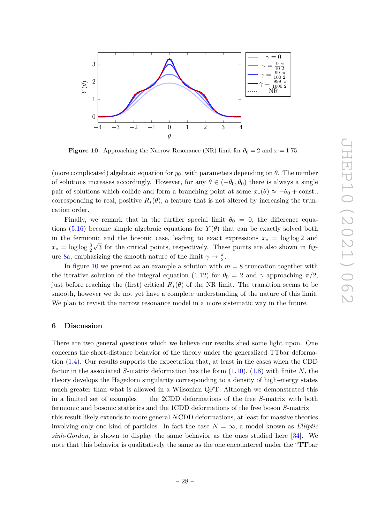<span id="page-29-1"></span>

**Figure 10.** Approaching the Narrow Resonance (NR) limit for  $\theta_0 = 2$  and  $x = 1.75$ .

(more complicated) algebraic equation for  $y_0$ , with parameters depending on  $\theta$ . The number of solutions increases accordingly. However, for any  $\theta \in (-\theta_0, \theta_0)$  there is always a single pair of solutions which collide and form a branching point at some  $x_*(\theta) \approx -\theta_0 + \text{const.}$ corresponding to real, positive  $R_*(\theta)$ , a feature that is not altered by increasing the truncation order.

Finally, we remark that in the further special limit  $\theta_0 = 0$ , the difference equa-tions [\(5.16\)](#page-28-1) become simple algebraic equations for  $Y(\theta)$  that can be exactly solved both in the fermionic and the bosonic case, leading to exact expressions  $x_* = \log \log 2$  and  $x_* = \log \log \frac{3}{2}\sqrt{3}$  for the critical points, respectively. These points are also shown in fig-ure [8a,](#page-26-1) emphasizing the smooth nature of the limit  $\gamma \to \frac{\pi}{2}$ .

In figure [10](#page-29-1) we present as an example a solution with  $m = 8$  truncation together with the iterative solution of the integral equation [\(1.12\)](#page-6-2) for  $\theta_0 = 2$  and  $\gamma$  approaching  $\pi/2$ , just before reaching the (first) critical  $R_*(\theta)$  of the NR limit. The transition seems to be smooth, however we do not yet have a complete understanding of the nature of this limit. We plan to revisit the narrow resonance model in a more sistematic way in the future.

#### <span id="page-29-0"></span>**6 Discussion**

There are two general questions which we believe our results shed some light upon. One concerns the short-distance behavior of the theory under the generalized TTbar deformation [\(1.4\)](#page-4-2). Our results supports the expectation that, at least in the cases when the CDD factor in the associated *S*-matrix deformation has the form [\(1.10\)](#page-6-5), [\(1.8\)](#page-5-5) with finite *N*, the theory develops the Hagedorn singularity corresponding to a density of high-energy states much greater than what is allowed in a Wilsonian QFT. Although we demonstrated this in a limited set of examples — the 2CDD deformations of the free *S*-matrix with both fermionic and bosonic statistics and the 1CDD deformations of the free boson *S*-matrix this result likely extends to more general *N*CDD deformations, at least for massive theories involving only one kind of particles. In fact the case  $N = \infty$ , a model known as *Elliptic sinh-Gordon*, is shown to display the same behavior as the ones studied here [\[34\]](#page-36-6). We note that this behavior is qualitatively the same as the one encountered under the "TTbar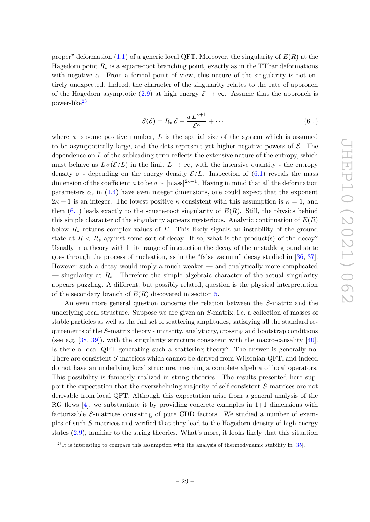proper" deformation [\(1.1\)](#page-2-1) of a generic local QFT. Moreover, the singularity of *E*(*R*) at the Hagedorn point  $R_*$  is a square-root branching point, exactly as in the TTbar deformations with negative  $\alpha$ . From a formal point of view, this nature of the singularity is not entirely unexpected. Indeed, the character of the singularity relates to the rate of approach of the Hagedorn asymptotic [\(2.9\)](#page-11-3) at high energy  $\mathcal{E} \to \infty$ . Assume that the approach is power-like<sup>[23](#page-30-0)</sup>

<span id="page-30-1"></span>
$$
S(\mathcal{E}) = R_* \mathcal{E} - \frac{a L^{\kappa + 1}}{\mathcal{E}^\kappa} + \cdots \tag{6.1}
$$

where  $\kappa$  is some positive number, L is the spatial size of the system which is assumed to be asymptotically large, and the dots represent yet higher negative powers of  $\mathcal{E}$ . The dependence on *L* of the subleading term reflects the extensive nature of the entropy, which must behave as  $L \sigma(\mathcal{E}/L)$  in the limit  $L \to \infty$ , with the intensive quantity - the entropy density  $\sigma$  - depending on the energy density  $\mathcal{E}/L$ . Inspection of [\(6.1\)](#page-30-1) reveals the mass dimension of the coefficient *a* to be  $a \sim [\text{mass}]^{2\kappa+1}$ . Having in mind that all the deformation parameters  $\alpha_s$  in [\(1.4\)](#page-4-2) have even integer dimensions, one could expect that the exponent  $2\kappa + 1$  is an integer. The lowest positive  $\kappa$  consistent with this assumption is  $\kappa = 1$ , and then  $(6.1)$  leads exactly to the square-root singularity of  $E(R)$ . Still, the physics behind this simple character of the singularity appears mysterious. Analytic continuation of  $E(R)$ below *R*<sup>∗</sup> returns complex values of *E*. This likely signals an instability of the ground state at  $R < R_*$  against some sort of decay. If so, what is the product(s) of the decay? Usually in a theory with finite range of interaction the decay of the unstable ground state goes through the process of nucleation, as in the "false vacuum" decay studied in [\[36,](#page-36-7) [37\]](#page-36-8). However such a decay would imply a much weaker — and analytically more complicated — singularity at *R*∗. Therefore the simple algebraic character of the actual singularity appears puzzling. A different, but possibly related, question is the physical interpretation of the secondary branch of *E*(*R*) discovered in section [5.](#page-22-0)

An even more general question concerns the relation between the *S*-matrix and the underlying local structure. Suppose we are given an *S*-matrix, i.e. a collection of masses of stable particles as well as the full set of scattering amplitudes, satisfying all the standard requirements of the *S*-matrix theory - unitarity, analyticity, crossing and bootstrap conditions (see e.g. [\[38,](#page-36-9) [39\]](#page-36-10)), with the singularity structure consistent with the macro-causality [\[40\]](#page-36-11). Is there a local QFT generating such a scattering theory? The answer is generally no. There are consistent *S*-matrices which cannot be derived from Wilsonian QFT, and indeed do not have an underlying local structure, meaning a complete algebra of local operators. This possibility is famously realized in string theories. The results presented here support the expectation that the overwhelming majority of self-consistent *S*-matrices are not derivable from local QFT. Although this expectation arise from a general analysis of the RG flows [\[4\]](#page-34-3), we substantiate it by providing concrete examples in  $1+1$  dimensions with factorizable *S*-matrices consisting of pure CDD factors. We studied a number of examples of such *S*-matrices and verified that they lead to the Hagedorn density of high-energy states [\(2.9\)](#page-11-3), familiar to the string theories. What's more, it looks likely that this situation

<span id="page-30-0"></span> $^{23}$ It is interesting to compare this assumption with the analysis of thermodynamic stability in [\[35\]](#page-36-12).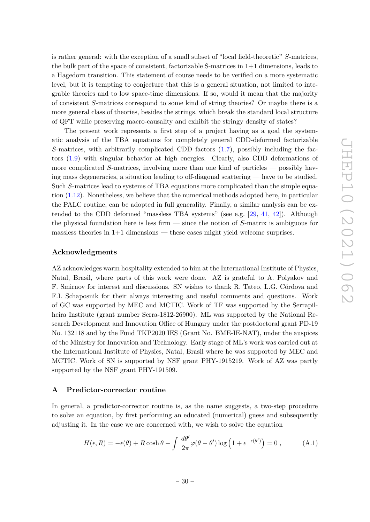is rather general: with the exception of a small subset of "local field-theoretic" *S*-matrices, the bulk part of the space of consistent, factorizable S-matrices in  $1+1$  dimensions, leads to a Hagedorn transition. This statement of course needs to be verified on a more systematic level, but it is tempting to conjecture that this is a general situation, not limited to integrable theories and to low space-time dimensions. If so, would it mean that the majority of consistent *S*-matrices correspond to some kind of string theories? Or maybe there is a more general class of theories, besides the strings, which break the standard local structure of QFT while preserving macro-causality and exhibit the stringy density of states?

The present work represents a first step of a project having as a goal the systematic analysis of the TBA equations for completely general CDD-deformed factorizable *S*-matrices, with arbitrarily complicated CDD factors [\(1.7\)](#page-5-3), possibly including the factors [\(1.9\)](#page-5-4) with singular behavior at high energies. Clearly, also CDD deformations of more complicated *S*-matrices, involving more than one kind of particles — possibly having mass degeneracies, a situation leading to off-diagonal scattering — have to be studied. Such *S*-matrices lead to systems of TBA equations more complicated than the simple equation [\(1.12\)](#page-6-2). Nonetheless, we believe that the numerical methods adopted here, in particular the PALC routine, can be adopted in full generality. Finally, a similar analysis can be extended to the CDD deformed "massless TBA systems" (see e.g. [\[29,](#page-36-1) [41,](#page-36-13) [42\]](#page-36-14)). Although the physical foundation here is less firm — since the notion of *S*-matrix is ambiguous for massless theories in  $1+1$  dimensions — these cases might yield welcome surprises.

# **Acknowledgments**

AZ acknowledges warm hospitality extended to him at the International Institute of Physics, Natal, Brasil, where parts of this work were done. AZ is grateful to A. Polyakov and F. Smirnov for interest and discussions. SN wishes to thank R. Tateo, L.G. Córdova and F.I. Schaposnik for their always interesting and useful comments and questions. Work of GC was supported by MEC and MCTIC. Work of TF was supported by the Serrapilheira Institute (grant number Serra-1812-26900). ML was supported by the National Research Development and Innovation Office of Hungary under the postdoctoral grant PD-19 No. 132118 and by the Fund TKP2020 IES (Grant No. BME-IE-NAT), under the auspices of the Ministry for Innovation and Technology. Early stage of ML's work was carried out at the International Institute of Physics, Natal, Brasil where he was supported by MEC and MCTIC. Work of SN is supported by NSF grant PHY-1915219. Work of AZ was partly supported by the NSF grant PHY-191509.

#### <span id="page-31-0"></span>**A Predictor-corrector routine**

In general, a predictor-corrector routine is, as the name suggests, a two-step procedure to solve an equation, by first performing an educated (numerical) guess and subsequently adjusting it. In the case we are concerned with, we wish to solve the equation

$$
H(\epsilon, R) = -\epsilon(\theta) + R \cosh \theta - \int \frac{d\theta'}{2\pi} \varphi(\theta - \theta') \log \left(1 + e^{-\epsilon(\theta')} \right) = 0 , \qquad (A.1)
$$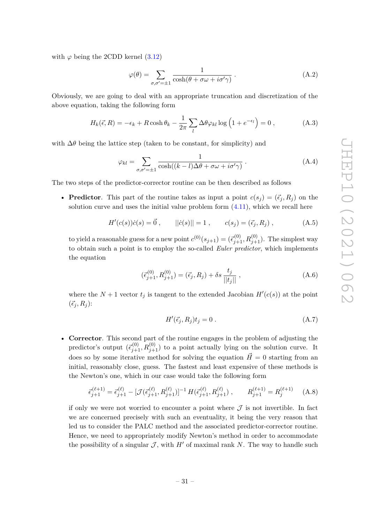with  $\varphi$  being the 2CDD kernel  $(3.12)$ 

$$
\varphi(\theta) = \sum_{\sigma,\sigma'=\pm 1} \frac{1}{\cosh(\theta + \sigma\omega + i\sigma'\gamma)}.
$$
 (A.2)

Obviously, we are going to deal with an appropriate truncation and discretization of the above equation, taking the following form

$$
H_k(\vec{\epsilon}, R) = -\epsilon_k + R \cosh \theta_k - \frac{1}{2\pi} \sum_l \Delta \theta \varphi_{kl} \log \left( 1 + e^{-\epsilon_l} \right) = 0 , \qquad (A.3)
$$

with  $\Delta\theta$  being the lattice step (taken to be constant, for simplicity) and

$$
\varphi_{kl} = \sum_{\sigma,\sigma'=\pm 1} \frac{1}{\cosh((k-l)\Delta\theta + \sigma\omega + i\sigma'\gamma)}.
$$
 (A.4)

The two steps of the predictor-corrector routine can be then described as follows

• **Predictor**. This part of the routine takes as input a point  $c(s_j) = (\vec{\epsilon}_j, R_j)$  on the solution curve and uses the initial value problem form  $(4.11)$ , which we recall here

$$
H'(c(s))\dot{c}(s) = \vec{0}, \qquad ||\dot{c}(s)|| = 1, \qquad c(s_j) = (\vec{\epsilon}_j, R_j), \qquad (A.5)
$$

to yield a reasonable guess for a new point  $c^{(0)}(s_{j+1}) = (\vec{\epsilon}_{j+1}^{(0)}, R_{j+1}^{(0)})$ . The simplest way to obtain such a point is to employ the so-called *Euler predictor*, which implements the equation

$$
(\vec{\epsilon}_{j+1}^{(0)}, R_{j+1}^{(0)}) = (\vec{\epsilon}_j, R_j) + \delta s \frac{t_j}{||t_j||}, \qquad (A.6)
$$

where the  $N + 1$  vector  $t_j$  is tangent to the extended Jacobian  $H'(c(s))$  at the point  $(\vec{\epsilon}_i, R_i)$ :

$$
H'(\vec{\epsilon}_j, R_j)t_j = 0.
$$
\n(A.7)

• **Corrector**. This second part of the routine engages in the problem of adjusting the predictor's output  $(\vec{\epsilon}_{j+1}^{(0)}, R_{j+1}^{(0)})$  to a point actually lying on the solution curve. It does so by some iterative method for solving the equation  $\vec{H} = 0$  starting from an initial, reasonably close, guess. The fastest and least expensive of these methods is the Newton's one, which in our case would take the following form

$$
\vec{\epsilon}_{j+1}^{(\ell+1)} = \vec{\epsilon}_{j+1}^{(\ell)} - [\mathcal{J}(\vec{\epsilon}_{j+1}^{(\ell)}, R_{j+1}^{(\ell)})]^{-1} H(\vec{\epsilon}_{j+1}^{(\ell)}, R_{j+1}^{(\ell)}) , \qquad R_{j+1}^{(\ell+1)} = R_j^{(\ell+1)} \quad \text{(A.8)}
$$

if only we were not worried to encounter a point where  $\mathcal J$  is not invertible. In fact we are concerned precisely with such an eventuality, it being the very reason that led us to consider the PALC method and the associated predictor-corrector routine. Hence, we need to appropriately modify Newton's method in order to accommodate the possibility of a singular  $\mathcal{J}$ , with  $H'$  of maximal rank *N*. The way to handle such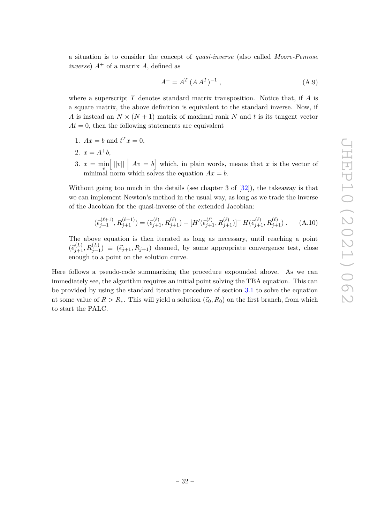a situation is to consider the concept of *quasi-inverse* (also called *Moore-Penrose inverse*)  $A^+$  of a matrix *A*, defined as

$$
A^{+} = A^{T} (A A^{T})^{-1}, \qquad (A.9)
$$

where a superscript *T* denotes standard matrix transposition. Notice that, if *A* is a square matrix, the above definition is equivalent to the standard inverse. Now, if *A* is instead an  $N \times (N + 1)$  matrix of maximal rank *N* and *t* is its tangent vector  $At = 0$ , then the following statements are equivalent

- 1.  $Ax = b$  and  $t^T x = 0$ ,
- 2.  $x = A^+b$ ,
- 3.  $x = \min_{v}$  $[||v||]$   $Av = b$  which, in plain words, means that *x* is the vector of minimal norm which solves the equation  $Ax = b$ .

Without going too much in the details (see chapter 3 of [\[32\]](#page-36-4)), the takeaway is that we can implement Newton's method in the usual way, as long as we trade the inverse of the Jacobian for the quasi-inverse of the extended Jacobian:

$$
(\vec{\epsilon}_{j+1}^{(\ell+1)}, R_{j+1}^{(\ell+1)}) = (\vec{\epsilon}_{j+1}^{(\ell)}, R_{j+1}^{(\ell)}) - [H'(\vec{\epsilon}_{j+1}^{(\ell)}, R_{j+1}^{(\ell)})]^+ H(\vec{\epsilon}_{j+1}^{(\ell)}, R_{j+1}^{(\ell)}) . \tag{A.10}
$$

The above equation is then iterated as long as necessary, until reaching a point  $(\vec{\epsilon}_{j+1}^{(L)}, R_{j+1}^{(L)}) \equiv (\vec{\epsilon}_{j+1}, R_{j+1})$  deemed, by some appropriate convergence test, close enough to a point on the solution curve.

Here follows a pseudo-code summarizing the procedure expounded above. As we can immediately see, the algorithm requires an initial point solving the TBA equation. This can be provided by using the standard iterative procedure of section [3.1](#page-15-0) to solve the equation at some value of  $R > R_*$ . This will yield a solution  $(\vec{\epsilon}_0, R_0)$  on the first branch, from which to start the PALC.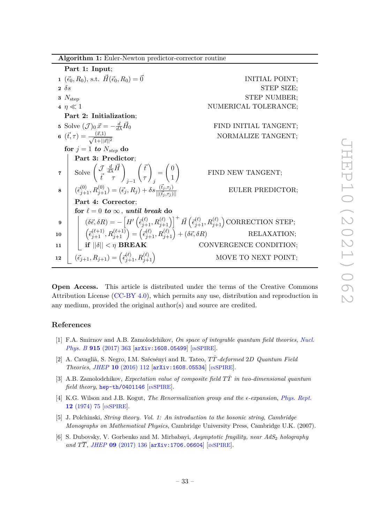| Algorithm 1: Euler-Newton predictor-corrector routine |  |  |  |
|-------------------------------------------------------|--|--|--|
|                                                       |  |  |  |

**Part 1: Input**; **1**  $(\vec{\epsilon}_0, R_0)$ , s.t.  $\vec{H}(\vec{\epsilon}_0, R_0) = \vec{0}$  INITIAL POINT; **2** *δs* STEP SIZE; **3**  $N_{\text{step}}$  STEP NUMBER; **4**  $n \ll 1$  NUMERICAL TOLERANCE: **Part 2: Initialization**; **5** Solve  $(\mathcal{J})_0 \vec{x} = -\frac{d}{d\lambda} \vec{H}$ FIND INITIAL TANGENT; **6**  $(\vec{t}, \tau) = \frac{(\vec{x}, 1)}{2}$  $NORMALIZE$  TANGENT; **for**  $j = 1$  **to**  $N_{step}$  **do Part 3: Predictor**;  $\mathbf{7}$  Solve  $\begin{pmatrix} \mathcal{J} & \frac{d}{d\lambda}\vec{H} \ \vec{t} & \tau \end{pmatrix}_{j-1}$  $\int \bar{t}$ *τ*  $\setminus$ *j* =  $\sqrt{0}$ 1  $\setminus$ FIND NEW TANGENT;  $\mathbf{8}$   $\Big\{ \begin{array}{c} (\vec{\epsilon}^{(0)}_{j+1},R^{(0)}_{j+1}) = (\vec{\epsilon}_{j},R_{j}) + \delta s \frac{(\vec{\epsilon}_{j},\tau_{j})}{\|(\vec{\epsilon}_{j},\tau_{j})\|} \end{array} \Big\}$ ||(*~t<sup>j</sup> ,τ<sup>j</sup>* )|| EULER PREDICTOR; **Part 4: Corrector**; for  $\ell = 0$  *to*  $\infty$ *, until break* do  $\mathbf{g} \quad \Big| \quad \Big| \quad (\delta \vec{\epsilon}, \delta R) = -\left[ H' \left( \vec{\epsilon}_{j+1}^{(\ell)}, R_{j+1}^{(\ell)} \right) \right]^+ \vec{H} \left( \vec{\epsilon}_{j+1}^{(\ell)}, R_{j+1}^{(\ell)} \right) \text{CORRECTION STEP};$  $\mathbf{10}$   $\begin{bmatrix} \epsilon^{(\ell+1)}_j, R^{(\ell+1)}_{j+1} \end{bmatrix} = \left( \tilde{\epsilon}^{(\ell)}_{j+1}, R^{(\ell)}_{j+1} \right) + (\delta \vec{\epsilon}, \delta R)$  RELAXATION; **11 if**  $||\delta|| < η$  **BREAK** CONVERGENCE CONDITION;  $\mathbf{12} \quad \left( \vec{\epsilon}_{j+1}, R_{j+1} \right) = \left( \vec{\epsilon}_{j+1}^{(\ell)}, R_{j+1}^{(\ell)} \right)$ MOVE TO NEXT POINT;

**Open Access.** This article is distributed under the terms of the Creative Commons Attribution License [\(CC-BY 4.0\)](https://creativecommons.org/licenses/by/4.0/), which permits any use, distribution and reproduction in any medium, provided the original author(s) and source are credited.

#### **References**

- <span id="page-34-0"></span>[1] F.A. Smirnov and A.B. Zamolodchikov, *On space of integrable quantum field theories*, *[Nucl.](https://doi.org/10.1016/j.nuclphysb.2016.12.014) Phys. B* **915** [\(2017\) 363](https://doi.org/10.1016/j.nuclphysb.2016.12.014) [[arXiv:1608.05499](https://arxiv.org/abs/1608.05499)] [IN[SPIRE](https://inspirehep.net/search?p=find+EPRINT%2BarXiv%3A1608.05499)].
- <span id="page-34-1"></span>[2] A. Cavaglià, S. Negro, I.M. Szécsényi and R. Tateo, *TT*¯*-deformed* 2*D Quantum Field Theories*, *JHEP* **10** [\(2016\) 112](https://doi.org/10.1007/JHEP10(2016)112) [[arXiv:1608.05534](https://arxiv.org/abs/1608.05534)] [IN[SPIRE](https://inspirehep.net/search?p=find+EPRINT%2BarXiv%3A1608.05534)].
- <span id="page-34-2"></span>[3] A.B. Zamolodchikov, *Expectation value of composite field TT*¯ *in two-dimensional quantum field theory*, [hep-th/0401146](https://arxiv.org/abs/hep-th/0401146) [IN[SPIRE](https://inspirehep.net/search?p=find+EPRINT%2Bhep-th%2F0401146)].
- <span id="page-34-3"></span>[4] K.G. Wilson and J.B. Kogut, *The Renormalization group and the -expansion*, *[Phys. Rept.](https://doi.org/10.1016/0370-1573(74)90023-4)* **12** [\(1974\) 75](https://doi.org/10.1016/0370-1573(74)90023-4) [IN[SPIRE](https://inspirehep.net/search?p=find+J%20%22Phys.Rept%2C12%2C75%22)].
- <span id="page-34-4"></span>[5] J. Polchinski, *String theory. Vol. 1: An introduction to the bosonic string*, *Cambridge Monographs on Mathematical Physics*, Cambridge University Press, Cambridge U.K. (2007).
- <span id="page-34-5"></span>[6] S. Dubovsky, V. Gorbenko and M. Mirbabayi, *Asymptotic fragility, near AdS*<sup>2</sup> *holography and*  $T\overline{T}$ , *JHEP* **09** [\(2017\) 136](https://doi.org/10.1007/JHEP09(2017)136) [[arXiv:1706.06604](https://arxiv.org/abs/1706.06604)] [IN[SPIRE](https://inspirehep.net/search?p=find+EPRINT%2BarXiv%3A1706.06604)].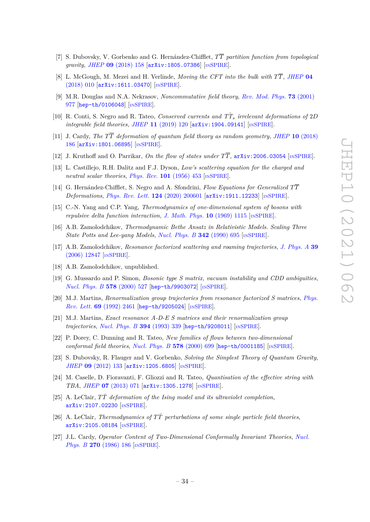- <span id="page-35-1"></span>[7] S. Dubovsky, V. Gorbenko and G. Hernández-Chifflet, *TT partition function from topological gravity*, *JHEP* **09** [\(2018\) 158](https://doi.org/10.1007/JHEP09(2018)158) [[arXiv:1805.07386](https://arxiv.org/abs/1805.07386)] [IN[SPIRE](https://inspirehep.net/search?p=find+EPRINT%2BarXiv%3A1805.07386)].
- <span id="page-35-0"></span>[8] L. McGough, M. Mezei and H. Verlinde, *Moving the CFT into the bulk with TT*, *[JHEP](https://doi.org/10.1007/JHEP04(2018)010)* **04** [\(2018\) 010](https://doi.org/10.1007/JHEP04(2018)010) [[arXiv:1611.03470](https://arxiv.org/abs/1611.03470)] [IN[SPIRE](https://inspirehep.net/search?p=find+EPRINT%2BarXiv%3A1611.03470)].
- <span id="page-35-2"></span>[9] M.R. Douglas and N.A. Nekrasov, *Noncommutative field theory*, *[Rev. Mod. Phys.](https://doi.org/10.1103/RevModPhys.73.977)* **73** (2001) [977](https://doi.org/10.1103/RevModPhys.73.977) [[hep-th/0106048](https://arxiv.org/abs/hep-th/0106048)] [IN[SPIRE](https://inspirehep.net/search?p=find+EPRINT%2Bhep-th%2F0106048)].
- <span id="page-35-3"></span>[10] R. Conti, S. Negro and R. Tateo, *Conserved currents and*  $T\bar{T}_s$  *irrelevant deformations of* 2*D integrable field theories*, *JHEP* 11 [\(2019\) 120](https://doi.org/10.1007/JHEP11(2019)120) [[arXiv:1904.09141](https://arxiv.org/abs/1904.09141)] [IN[SPIRE](https://inspirehep.net/search?p=find+EPRINT%2BarXiv%3A1904.09141)].
- <span id="page-35-5"></span>[11] J. Cardy, *The TT deformation of quantum field theory as random geometry*, *JHEP* **10** [\(2018\)](https://doi.org/10.1007/JHEP10(2018)186) [186](https://doi.org/10.1007/JHEP10(2018)186) [[arXiv:1801.06895](https://arxiv.org/abs/1801.06895)] [IN[SPIRE](https://inspirehep.net/search?p=find+EPRINT%2BarXiv%3A1801.06895)].
- <span id="page-35-6"></span>[12] J. Kruthoff and O. Parrikar, *On the flow of states under*  $T\overline{T}$ ,  $arXiv:2006.03054$  [IN[SPIRE](https://inspirehep.net/search?p=find+EPRINT%2BarXiv%3A2006.03054)].
- <span id="page-35-4"></span>[13] L. Castillejo, R.H. Dalitz and F.J. Dyson, *Low's scattering equation for the charged and neutral scalar theories*, *[Phys. Rev.](https://doi.org/10.1103/PhysRev.101.453)* **101** (1956) 453 [IN[SPIRE](https://inspirehep.net/search?p=find+J%20%22Phys.Rev.%2C101%2C453%22)].
- <span id="page-35-9"></span>[14] G. Hernández-Chifflet, S. Negro and A. Sfondrini, *Flow Equations for Generalized TT Deformations*, *[Phys. Rev. Lett.](https://doi.org/10.1103/PhysRevLett.124.200601)* **124** (2020) 200601 [[arXiv:1911.12233](https://arxiv.org/abs/1911.12233)] [IN[SPIRE](https://inspirehep.net/search?p=find+EPRINT%2BarXiv%3A1911.12233)].
- <span id="page-35-7"></span>[15] C.-N. Yang and C.P. Yang, *Thermodynamics of one-dimensional system of bosons with repulsive delta function interaction*, *[J. Math. Phys.](https://doi.org/10.1063/1.1664947)* **10** (1969) 1115 [IN[SPIRE](https://inspirehep.net/search?p=find+J%20%22J.Math.Phys.%2C10%2C1115%22)].
- <span id="page-35-8"></span>[16] A.B. Zamolodchikov, *Thermodynamic Bethe Ansatz in Relativistic Models. Scaling Three State Potts and Lee-yang Models, [Nucl. Phys. B](https://doi.org/10.1016/0550-3213(90)90333-9)* 342 (1990) 695 [IN[SPIRE](https://inspirehep.net/search?p=find+J%20%22Nucl.Phys.%2CB342%2C695%22)].
- <span id="page-35-10"></span>[17] A.B. Zamolodchikov, *Resonance factorized scattering and roaming trajectories*, *[J. Phys. A](https://doi.org/10.1088/0305-4470/39/41/S08)* **39** [\(2006\) 12847](https://doi.org/10.1088/0305-4470/39/41/S08) [IN[SPIRE](https://inspirehep.net/search?p=find+J%20%22J.Phys.%2CA39%2C12847%22)].
- <span id="page-35-11"></span>[18] A.B. Zamolodchikov, unpublished.
- <span id="page-35-12"></span>[19] G. Mussardo and P. Simon, *Bosonic type S matrix, vacuum instability and CDD ambiguities*, *[Nucl. Phys. B](https://doi.org/10.1016/S0550-3213(99)00806-8)* **578** (2000) 527 [[hep-th/9903072](https://arxiv.org/abs/hep-th/9903072)] [IN[SPIRE](https://inspirehep.net/search?p=find+EPRINT%2Bhep-th%2F9903072)].
- <span id="page-35-13"></span>[20] M.J. Martins, *Renormalization group trajectories from resonance factorized S matrices*, *[Phys.](https://doi.org/10.1103/PhysRevLett.69.2461) Rev. Lett.* **69** [\(1992\) 2461](https://doi.org/10.1103/PhysRevLett.69.2461) [[hep-th/9205024](https://arxiv.org/abs/hep-th/9205024)] [IN[SPIRE](https://inspirehep.net/search?p=find+EPRINT%2Bhep-th%2F9205024)].
- [21] M.J. Martins, *Exact resonance A-D-E S matrices and their renormalization group trajectories*, *[Nucl. Phys. B](https://doi.org/10.1016/0550-3213(93)90018-K)* **394** (1993) 339 [[hep-th/9208011](https://arxiv.org/abs/hep-th/9208011)] [IN[SPIRE](https://inspirehep.net/search?p=find+EPRINT%2Bhep-th%2F9208011)].
- <span id="page-35-14"></span>[22] P. Dorey, C. Dunning and R. Tateo, *New families of flows between two-dimensional conformal field theories*, *[Nucl. Phys. B](https://doi.org/10.1016/S0550-3213(00)00185-1)* **578** (2000) 699 [[hep-th/0001185](https://arxiv.org/abs/hep-th/0001185)] [IN[SPIRE](https://inspirehep.net/search?p=find+EPRINT%2Bhep-th%2F0001185)].
- <span id="page-35-15"></span>[23] S. Dubovsky, R. Flauger and V. Gorbenko, *Solving the Simplest Theory of Quantum Gravity*, *JHEP* **09** [\(2012\) 133](https://doi.org/10.1007/JHEP09(2012)133) [[arXiv:1205.6805](https://arxiv.org/abs/1205.6805)] [IN[SPIRE](https://inspirehep.net/search?p=find+EPRINT%2BarXiv%3A1205.6805)].
- <span id="page-35-16"></span>[24] M. Caselle, D. Fioravanti, F. Gliozzi and R. Tateo, *Quantisation of the effective string with TBA*, *JHEP* **07** [\(2013\) 071](https://doi.org/10.1007/JHEP07(2013)071) [[arXiv:1305.1278](https://arxiv.org/abs/1305.1278)] [IN[SPIRE](https://inspirehep.net/search?p=find+EPRINT%2BarXiv%3A1305.1278)].
- <span id="page-35-17"></span>[25] A. LeClair,  $T\overline{T}$  *deformation of the Ising model and its ultraviolet completion*, [arXiv:2107.02230](https://arxiv.org/abs/2107.02230) [IN[SPIRE](https://inspirehep.net/search?p=find+EPRINT%2BarXiv%3A2107.02230)].
- <span id="page-35-18"></span>[26] A. LeClair, *Thermodynamics of TT*¯ *perturbations of some single particle field theories*, [arXiv:2105.08184](https://arxiv.org/abs/2105.08184) [IN[SPIRE](https://inspirehep.net/search?p=find+EPRINT%2BarXiv%3A2105.08184)].
- <span id="page-35-19"></span>[27] J.L. Cardy, *Operator Content of Two-Dimensional Conformally Invariant Theories*, *[Nucl.](https://doi.org/10.1016/0550-3213(86)90552-3) Phys. B* **270** [\(1986\) 186](https://doi.org/10.1016/0550-3213(86)90552-3) [IN[SPIRE](https://inspirehep.net/search?p=find+J%20%22Nucl.Phys.%2CB270%2C186%22)].